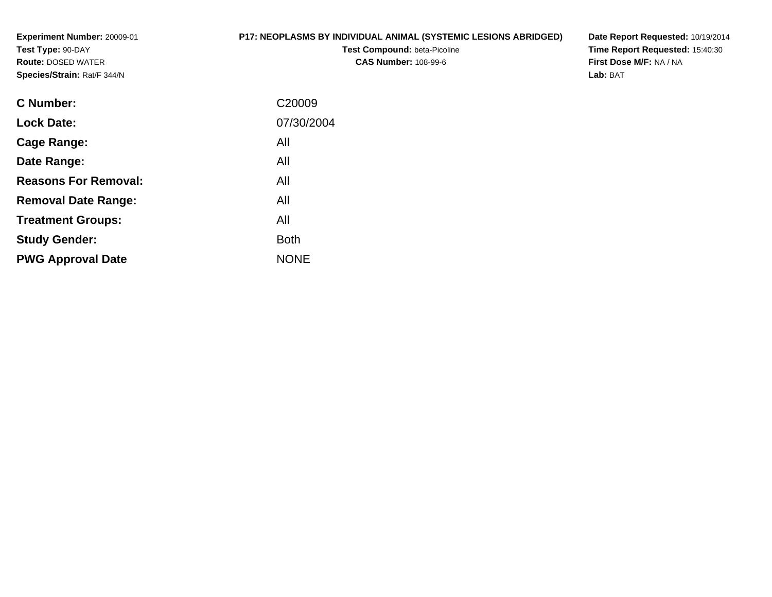**Experiment Number:** 20009-01**Test Type:** 90-DAY **Route:** DOSED WATER**Species/Strain:** Rat/F 344/N

# **P17: NEOPLASMS BY INDIVIDUAL ANIMAL (SYSTEMIC LESIONS ABRIDGED)**

**Test Compound:** beta-Picoline**CAS Number:** 108-99-6

**Date Report Requested:** 10/19/2014 **Time Report Requested:** 15:40:30**First Dose M/F:** NA / NA**Lab:** BAT

| C <sub>20009</sub> |
|--------------------|
| 07/30/2004         |
| All                |
| All                |
| All                |
| All                |
| All                |
| <b>Both</b>        |
| <b>NONE</b>        |
|                    |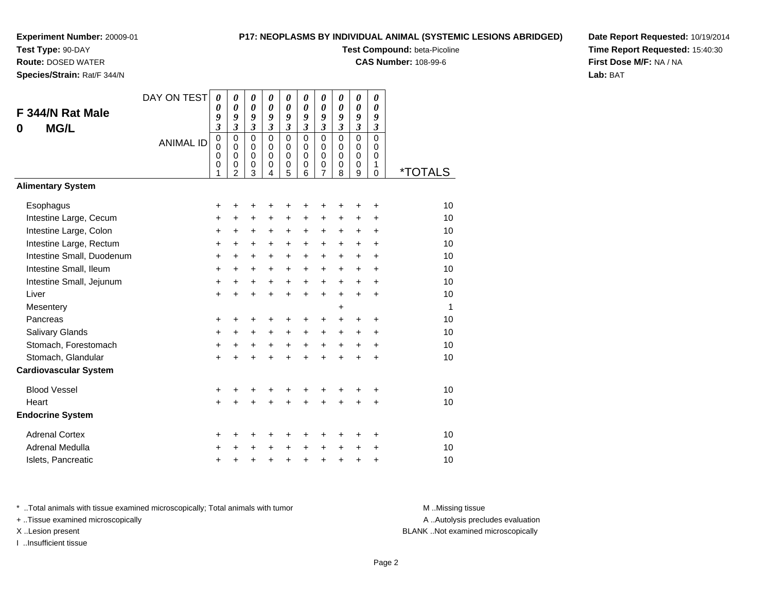**Test Type:** 90-DAY

**Route:** DOSED WATER

**Species/Strain:** Rat/F 344/N

# **P17: NEOPLASMS BY INDIVIDUAL ANIMAL (SYSTEMIC LESIONS ABRIDGED)**

**Test Compound:** beta-Picoline

**CAS Number:** 108-99-6

**Date Report Requested:** 10/19/2014**Time Report Requested:** 15:40:30**First Dose M/F:** NA / NA**Lab:** BAT

| F 344/N Rat Male<br><b>MG/L</b><br>0 | DAY ON TEST      | 0<br>$\boldsymbol{\theta}$<br>9<br>$\mathfrak{z}$           | 0<br>0<br>9<br>$\mathfrak{z}$                                              | $\boldsymbol{\theta}$<br>0<br>9<br>$\mathfrak{z}$<br>$\Omega$ | 0<br>0<br>9<br>$\mathfrak{z}$<br>$\Omega$ | 0<br>0<br>9<br>$\overline{\mathbf{3}}$                   | 0<br>0<br>9<br>$\overline{\mathbf{3}}$        | 0<br>0<br>9<br>3                          | 0<br>$\boldsymbol{\theta}$<br>9<br>$\mathfrak{z}$ | 0<br>0<br>9<br>$\overline{\mathbf{3}}$              | 0<br>0<br>9<br>$\boldsymbol{\mathfrak{z}}$       |                       |
|--------------------------------------|------------------|-------------------------------------------------------------|----------------------------------------------------------------------------|---------------------------------------------------------------|-------------------------------------------|----------------------------------------------------------|-----------------------------------------------|-------------------------------------------|---------------------------------------------------|-----------------------------------------------------|--------------------------------------------------|-----------------------|
|                                      | <b>ANIMAL ID</b> | $\pmb{0}$<br>$\mathbf 0$<br>$\mathbf 0$<br>$\mathbf 0$<br>1 | $\mathbf 0$<br>$\mathbf 0$<br>$\mathbf 0$<br>$\mathbf 0$<br>$\overline{2}$ | $\mathbf 0$<br>$\mathbf 0$<br>$\mathbf 0$<br>3                | $\Omega$<br>$\Omega$<br>$\mathbf 0$<br>4  | $\mathbf 0$<br>0<br>$\mathbf 0$<br>$\boldsymbol{0}$<br>5 | $\mathbf 0$<br>$\Omega$<br>$\Omega$<br>0<br>6 | $\mathbf 0$<br>0<br>$\mathbf 0$<br>0<br>7 | $\mathbf 0$<br>$\Omega$<br>$\Omega$<br>0<br>8     | $\mathbf 0$<br>0<br>$\mathbf 0$<br>$\mathbf 0$<br>9 | $\mathbf 0$<br>$\Omega$<br>$\mathbf 0$<br>1<br>0 | <i><b>*TOTALS</b></i> |
| <b>Alimentary System</b>             |                  |                                                             |                                                                            |                                                               |                                           |                                                          |                                               |                                           |                                                   |                                                     |                                                  |                       |
| Esophagus                            |                  | +                                                           | +                                                                          | +                                                             | +                                         | +                                                        | +                                             | +                                         |                                                   | +                                                   | +                                                | 10                    |
| Intestine Large, Cecum               |                  | +                                                           | +                                                                          | +                                                             | +                                         | +                                                        | +                                             | +                                         | +                                                 | +                                                   | +                                                | 10                    |
| Intestine Large, Colon               |                  | $\ddot{}$                                                   | $\ddot{}$                                                                  | $\ddot{}$                                                     | $\ddot{}$                                 | +                                                        | +                                             | +                                         | $\ddot{}$                                         | $\ddot{}$                                           | $\ddot{}$                                        | 10                    |
| Intestine Large, Rectum              |                  | $\ddot{}$                                                   | $+$                                                                        | +                                                             | $\ddot{}$                                 | $\ddot{}$                                                | $\ddot{}$                                     | $\ddot{}$                                 | $\ddot{}$                                         | $\ddot{}$                                           | $\ddot{}$                                        | 10                    |
| Intestine Small, Duodenum            |                  | $\ddot{}$                                                   | $\ddot{}$                                                                  | $\ddot{}$                                                     | $\ddot{}$                                 | $\ddot{}$                                                | $\ddot{}$                                     | $\ddot{}$                                 | $\ddot{}$                                         | $+$                                                 | $\ddot{}$                                        | 10                    |
| Intestine Small, Ileum               |                  | $\ddot{}$                                                   | +                                                                          | +                                                             | +                                         | +                                                        | +                                             | +                                         | $\ddot{}$                                         | +                                                   | +                                                | 10                    |
| Intestine Small, Jejunum             |                  | +                                                           | +                                                                          | +                                                             | $\ddot{}$                                 | $\ddot{}$                                                | $\ddot{}$                                     | $\ddot{}$                                 | $\ddot{}$                                         | $\ddot{}$                                           | $\ddot{}$                                        | 10                    |
| Liver                                |                  | $\ddot{}$                                                   | $\ddot{}$                                                                  | $\ddot{}$                                                     | $\ddot{}$                                 | $\ddot{}$                                                | $\ddot{}$                                     | $\ddot{}$                                 | $\ddot{}$                                         | $\ddot{}$                                           | +                                                | 10                    |
| Mesentery                            |                  |                                                             |                                                                            |                                                               |                                           |                                                          |                                               |                                           | $\ddot{}$                                         |                                                     |                                                  | 1                     |
| Pancreas                             |                  | +                                                           | +                                                                          | +                                                             | +                                         | +                                                        | +                                             | +                                         | $\ddot{}$                                         | $\ddot{}$                                           | +                                                | 10                    |
| Salivary Glands                      |                  | +                                                           | $\ddot{}$                                                                  | $\ddot{}$                                                     | $\ddot{}$                                 | $\ddot{}$                                                | +                                             | +                                         | $\ddot{}$                                         | $\ddot{}$                                           | $\ddot{}$                                        | 10                    |
| Stomach, Forestomach                 |                  | $\ddot{}$                                                   | $\ddot{}$                                                                  | $\ddot{}$                                                     | $\ddot{}$                                 | $+$                                                      | $+$                                           | $+$                                       | $\ddot{}$                                         | $\ddot{}$                                           | +                                                | 10                    |
| Stomach, Glandular                   |                  | $\ddot{}$                                                   |                                                                            | $\ddot{}$                                                     | $\ddot{}$                                 | $\ddot{}$                                                | ÷                                             | $\ddot{}$                                 | $\ddot{}$                                         | $\ddot{}$                                           | $\ddot{}$                                        | 10                    |
| <b>Cardiovascular System</b>         |                  |                                                             |                                                                            |                                                               |                                           |                                                          |                                               |                                           |                                                   |                                                     |                                                  |                       |
| <b>Blood Vessel</b>                  |                  | +                                                           | +                                                                          | +                                                             | +                                         | +                                                        | +                                             | +                                         | +                                                 |                                                     | +                                                | 10                    |
| Heart                                |                  | $\ddot{}$                                                   |                                                                            | $\ddot{}$                                                     | $\ddot{}$                                 | $\ddot{}$                                                | ÷                                             | $\ddot{}$                                 | $\ddot{}$                                         | $\ddot{}$                                           | $\ddot{}$                                        | 10                    |
| <b>Endocrine System</b>              |                  |                                                             |                                                                            |                                                               |                                           |                                                          |                                               |                                           |                                                   |                                                     |                                                  |                       |
| <b>Adrenal Cortex</b>                |                  | +                                                           | +                                                                          | +                                                             | +                                         | +                                                        | +                                             | +                                         | ٠                                                 | +                                                   | +                                                | 10                    |
| Adrenal Medulla                      |                  | $\ddot{}$                                                   |                                                                            | $\ddot{}$                                                     | $\ddot{}$                                 | $\ddot{}$                                                | $\ddot{}$                                     | $\ddot{}$                                 | $\ddot{}$                                         | $\ddot{}$                                           | +                                                | 10                    |
| Islets, Pancreatic                   |                  | +                                                           | +                                                                          | +                                                             | +                                         | $\pmb{+}$                                                | +                                             | +                                         | $\ddot{}$                                         | +                                                   | +                                                | 10                    |

\* ..Total animals with tissue examined microscopically; Total animals with tumor **M** . Missing tissue M ..Missing tissue

+ ..Tissue examined microscopically

I ..Insufficient tissue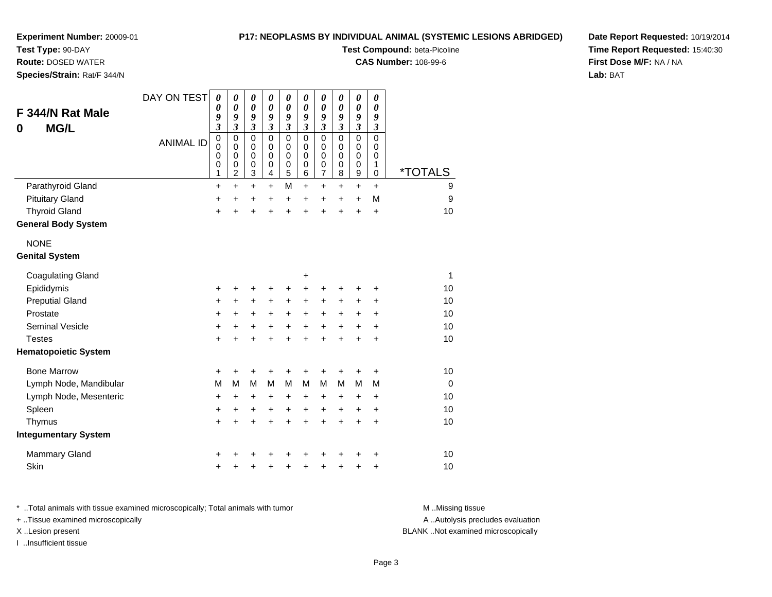**Test Type:** 90-DAY

**Route:** DOSED WATER

**Species/Strain:** Rat/F 344/N

# **P17: NEOPLASMS BY INDIVIDUAL ANIMAL (SYSTEMIC LESIONS ABRIDGED)**

**Test Compound:** beta-Picoline

**CAS Number:** 108-99-6

**Date Report Requested:** 10/19/2014**Time Report Requested:** 15:40:30**First Dose M/F:** NA / NA**Lab:** BAT

| F 344/N Rat Male<br><b>MG/L</b><br>0 | DAY ON TEST      | 0<br>0<br>9<br>$\overline{\mathbf{3}}$ | 0<br>$\boldsymbol{\theta}$<br>9<br>$\overline{\mathbf{3}}$ | 0<br>$\boldsymbol{\theta}$<br>9<br>$\overline{\mathbf{3}}$<br>$\mathbf 0$ | $\boldsymbol{\theta}$<br>$\boldsymbol{\theta}$<br>9<br>$\overline{\mathbf{3}}$<br>$\mathbf 0$ | 0<br>$\boldsymbol{\theta}$<br>9<br>$\mathfrak{z}$<br>$\pmb{0}$ | $\boldsymbol{\theta}$<br>$\boldsymbol{\theta}$<br>9<br>$\mathfrak{z}$<br>$\mathbf 0$ | $\boldsymbol{\theta}$<br>$\boldsymbol{\theta}$<br>9<br>$\mathfrak{z}$ | 0<br>$\boldsymbol{\theta}$<br>9<br>$\mathfrak{z}$ | $\boldsymbol{\theta}$<br>$\boldsymbol{\theta}$<br>9<br>$\overline{\mathbf{3}}$<br>$\mathbf 0$ | 0<br>$\boldsymbol{\theta}$<br>9<br>$\boldsymbol{\mathfrak{z}}$<br>$\mathbf 0$ |                       |
|--------------------------------------|------------------|----------------------------------------|------------------------------------------------------------|---------------------------------------------------------------------------|-----------------------------------------------------------------------------------------------|----------------------------------------------------------------|--------------------------------------------------------------------------------------|-----------------------------------------------------------------------|---------------------------------------------------|-----------------------------------------------------------------------------------------------|-------------------------------------------------------------------------------|-----------------------|
|                                      | <b>ANIMAL ID</b> | 0<br>0<br>0<br>0<br>1                  | 0<br>$\mathbf 0$<br>$\pmb{0}$<br>0<br>$\overline{c}$       | $\mathbf 0$<br>0<br>0<br>3                                                | $\mathbf 0$<br>$\mathbf 0$<br>0<br>4                                                          | $\mathbf 0$<br>$\pmb{0}$<br>0<br>5                             | 0<br>$\mathbf 0$<br>0<br>6                                                           | $\pmb{0}$<br>0<br>$\pmb{0}$<br>$\mathbf 0$<br>$\overline{7}$          | $\pmb{0}$<br>0<br>$\mathbf 0$<br>0<br>8           | $\mathbf 0$<br>$\mathbf 0$<br>$\mathbf 0$<br>9                                                | 0<br>0<br>1<br>0                                                              | <i><b>*TOTALS</b></i> |
| Parathyroid Gland                    |                  | $\ddot{}$                              | $\ddot{}$                                                  | $\ddot{}$                                                                 | $\ddot{}$                                                                                     | M                                                              | $\ddot{}$                                                                            | $\ddot{}$                                                             | +                                                 | $\ddot{}$                                                                                     | $\ddot{}$                                                                     | 9                     |
| <b>Pituitary Gland</b>               |                  | +                                      | $\ddot{}$                                                  | +                                                                         | $\ddot{}$                                                                                     | $\ddot{}$                                                      | $\ddot{}$                                                                            | +                                                                     | $\ddot{}$                                         | +                                                                                             | M                                                                             | 9                     |
| <b>Thyroid Gland</b>                 |                  | $\ddot{}$                              | +                                                          | $\ddot{}$                                                                 | $\ddot{}$                                                                                     | $\ddot{}$                                                      | $\ddot{}$                                                                            | $\ddot{}$                                                             | ÷                                                 | $\ddot{}$                                                                                     | $\ddot{}$                                                                     | 10                    |
| <b>General Body System</b>           |                  |                                        |                                                            |                                                                           |                                                                                               |                                                                |                                                                                      |                                                                       |                                                   |                                                                                               |                                                                               |                       |
| <b>NONE</b>                          |                  |                                        |                                                            |                                                                           |                                                                                               |                                                                |                                                                                      |                                                                       |                                                   |                                                                                               |                                                                               |                       |
| <b>Genital System</b>                |                  |                                        |                                                            |                                                                           |                                                                                               |                                                                |                                                                                      |                                                                       |                                                   |                                                                                               |                                                                               |                       |
| <b>Coagulating Gland</b>             |                  |                                        |                                                            |                                                                           |                                                                                               |                                                                | +                                                                                    |                                                                       |                                                   |                                                                                               |                                                                               | 1                     |
| Epididymis                           |                  | +                                      | +                                                          | +                                                                         | +                                                                                             | +                                                              | +                                                                                    | +                                                                     | +                                                 | +                                                                                             | +                                                                             | 10                    |
| <b>Preputial Gland</b>               |                  | +                                      | +                                                          | +                                                                         | $\ddot{}$                                                                                     | +                                                              | +                                                                                    | +                                                                     | +                                                 | +                                                                                             | +                                                                             | 10                    |
| Prostate                             |                  | +                                      | +                                                          | +                                                                         | +                                                                                             | $\ddot{}$                                                      | +                                                                                    | $\ddot{}$                                                             | +                                                 | +                                                                                             | +                                                                             | 10                    |
| <b>Seminal Vesicle</b>               |                  | +                                      | $\ddot{}$                                                  | $\ddot{}$                                                                 | $\ddot{}$                                                                                     | $\ddot{}$                                                      | $\ddot{}$                                                                            | $\pm$                                                                 | $\ddot{}$                                         | $\ddot{}$                                                                                     | $\ddot{}$                                                                     | 10                    |
| <b>Testes</b>                        |                  | +                                      | +                                                          | $\ddot{}$                                                                 | $\ddot{}$                                                                                     | $\ddot{}$                                                      | $\ddot{}$                                                                            | $\ddot{}$                                                             | $\ddot{}$                                         | $\ddot{}$                                                                                     | $\ddot{}$                                                                     | 10                    |
| <b>Hematopoietic System</b>          |                  |                                        |                                                            |                                                                           |                                                                                               |                                                                |                                                                                      |                                                                       |                                                   |                                                                                               |                                                                               |                       |
| <b>Bone Marrow</b>                   |                  | +                                      | +                                                          | +                                                                         | +                                                                                             | +                                                              | +                                                                                    | +                                                                     |                                                   | +                                                                                             | +                                                                             | 10                    |
| Lymph Node, Mandibular               |                  | M                                      | M                                                          | M                                                                         | M                                                                                             | M                                                              | M                                                                                    | M                                                                     | M                                                 | M                                                                                             | M                                                                             | $\Omega$              |
| Lymph Node, Mesenteric               |                  | +                                      | +                                                          | +                                                                         | +                                                                                             | $\ddot{}$                                                      | +                                                                                    | $\ddot{}$                                                             | +                                                 | $\ddot{}$                                                                                     | $\ddot{}$                                                                     | 10                    |
| Spleen                               |                  | +                                      | $\ddot{}$                                                  | +                                                                         | +                                                                                             | $\ddot{}$                                                      | $\ddot{}$                                                                            | $\ddot{}$                                                             | $\ddot{}$                                         | $\ddot{}$                                                                                     | $\ddot{}$                                                                     | 10                    |
| Thymus                               |                  | +                                      | $\ddot{}$                                                  | $\ddot{}$                                                                 | $\ddot{}$                                                                                     | $\ddot{}$                                                      | $\ddot{}$                                                                            | $\ddot{}$                                                             | $\ddot{}$                                         | $\ddot{}$                                                                                     | $\ddot{}$                                                                     | 10                    |
| <b>Integumentary System</b>          |                  |                                        |                                                            |                                                                           |                                                                                               |                                                                |                                                                                      |                                                                       |                                                   |                                                                                               |                                                                               |                       |
| <b>Mammary Gland</b>                 |                  | +                                      |                                                            |                                                                           |                                                                                               |                                                                |                                                                                      |                                                                       |                                                   |                                                                                               | +                                                                             | 10                    |
| Skin                                 |                  | +                                      |                                                            | +                                                                         | +                                                                                             | +                                                              |                                                                                      | +                                                                     |                                                   | +                                                                                             | +                                                                             | 10                    |

\* ..Total animals with tissue examined microscopically; Total animals with tumor **M** . Missing tissue M ..Missing tissue A ..Autolysis precludes evaluation + ..Tissue examined microscopically X ..Lesion present BLANK ..Not examined microscopicallyI ..Insufficient tissue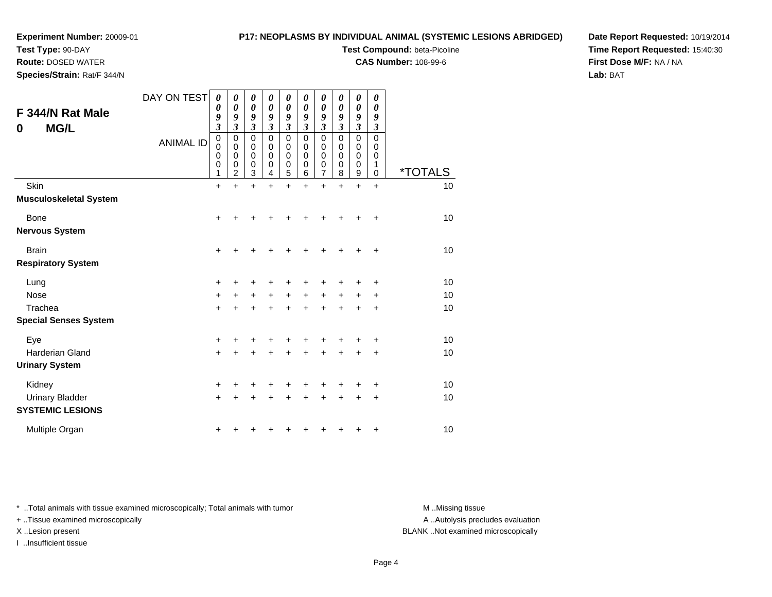# **Test Type:** 90-DAY

**Route:** DOSED WATER

**Species/Strain:** Rat/F 344/N

# **P17: NEOPLASMS BY INDIVIDUAL ANIMAL (SYSTEMIC LESIONS ABRIDGED)**

**Test Compound:** beta-Picoline

**CAS Number:** 108-99-6

**Date Report Requested:** 10/19/2014**Time Report Requested:** 15:40:30**First Dose M/F:** NA / NA**Lab:** BAT

| F 344/N Rat Male<br><b>MG/L</b><br>0              | DAY ON TEST<br><b>ANIMAL ID</b> | 0<br>0<br>9<br>$\mathfrak{z}$<br>$\mathbf 0$<br>$\mathbf 0$<br>0<br>$\mathbf 0$ | 0<br>0<br>9<br>3<br>0<br>$\mathbf 0$<br>0<br>0 | 0<br>0<br>9<br>3<br>$\pmb{0}$<br>$\mathbf 0$<br>$\mathbf 0$<br>0 | 0<br>0<br>9<br>3<br>0<br>$\mathbf 0$<br>0<br>0 | 0<br>0<br>9<br>$\overline{\mathbf{3}}$<br>0<br>0<br>$\mathbf 0$<br>$\boldsymbol{0}$ | 0<br>0<br>9<br>$\overline{\mathbf{3}}$<br>0<br>$\mathbf 0$<br>0<br>0 | 0<br>0<br>9<br>$\overline{\mathbf{3}}$<br>0<br>0<br>0<br>0 | 0<br>0<br>9<br>$\overline{\mathbf{3}}$<br>$\mathbf 0$<br>0<br>0<br>0 | 0<br>0<br>9<br>3<br>$\mathbf 0$<br>$\mathbf 0$<br>$\mathbf 0$<br>0 | 0<br>0<br>9<br>3<br>$\mathbf 0$<br>0<br>0<br>1 |                             |
|---------------------------------------------------|---------------------------------|---------------------------------------------------------------------------------|------------------------------------------------|------------------------------------------------------------------|------------------------------------------------|-------------------------------------------------------------------------------------|----------------------------------------------------------------------|------------------------------------------------------------|----------------------------------------------------------------------|--------------------------------------------------------------------|------------------------------------------------|-----------------------------|
| Skin                                              |                                 | 1<br>$\ddot{}$                                                                  | $\overline{2}$<br>$\ddot{}$                    | 3<br>$\ddot{}$                                                   | 4<br>$\ddot{}$                                 | 5<br>+                                                                              | 6<br>$\ddot{}$                                                       | $\overline{7}$<br>$\ddot{}$                                | 8<br>$\ddot{}$                                                       | 9<br>$\ddot{}$                                                     | 0<br>$\ddot{}$                                 | <i><b>*TOTALS</b></i><br>10 |
| <b>Musculoskeletal System</b>                     |                                 |                                                                                 |                                                |                                                                  |                                                |                                                                                     |                                                                      |                                                            |                                                                      |                                                                    |                                                |                             |
| Bone                                              |                                 | $\ddot{}$                                                                       | +                                              | +                                                                |                                                | +                                                                                   |                                                                      | +                                                          |                                                                      |                                                                    | ٠                                              | 10                          |
| <b>Nervous System</b>                             |                                 |                                                                                 |                                                |                                                                  |                                                |                                                                                     |                                                                      |                                                            |                                                                      |                                                                    |                                                |                             |
| <b>Brain</b>                                      |                                 | $\ddot{}$                                                                       | +                                              | ٠                                                                |                                                | +                                                                                   |                                                                      | +                                                          | +                                                                    | ٠                                                                  | +                                              | 10                          |
| <b>Respiratory System</b>                         |                                 |                                                                                 |                                                |                                                                  |                                                |                                                                                     |                                                                      |                                                            |                                                                      |                                                                    |                                                |                             |
| Lung                                              |                                 | +                                                                               | +                                              | +                                                                | +                                              | +                                                                                   |                                                                      | ٠                                                          |                                                                      |                                                                    | +                                              | 10                          |
| <b>Nose</b>                                       |                                 | $\ddot{}$                                                                       | $\ddot{}$                                      | $\ddot{}$                                                        | $\ddot{}$                                      | $\ddot{}$                                                                           | $\ddot{}$                                                            | $\ddot{}$                                                  | $\ddot{}$                                                            | $\ddot{}$                                                          | +                                              | 10                          |
| Trachea                                           |                                 | $\ddot{}$                                                                       |                                                | $\ddot{}$                                                        |                                                | $\ddot{}$                                                                           |                                                                      | $\ddot{}$                                                  |                                                                      | +                                                                  | +                                              | 10                          |
| <b>Special Senses System</b>                      |                                 |                                                                                 |                                                |                                                                  |                                                |                                                                                     |                                                                      |                                                            |                                                                      |                                                                    |                                                |                             |
| Eye                                               |                                 | $\ddot{}$                                                                       |                                                | +                                                                |                                                |                                                                                     |                                                                      |                                                            |                                                                      |                                                                    | +                                              | 10                          |
| <b>Harderian Gland</b>                            |                                 | $+$                                                                             | +                                              | $\ddot{}$                                                        | $\div$                                         | $\ddot{}$                                                                           | $\div$                                                               | $\ddot{}$                                                  | $\div$                                                               | $\ddot{}$                                                          | +                                              | 10                          |
| <b>Urinary System</b>                             |                                 |                                                                                 |                                                |                                                                  |                                                |                                                                                     |                                                                      |                                                            |                                                                      |                                                                    |                                                |                             |
| Kidney                                            |                                 | +                                                                               | +                                              | +                                                                | +                                              | +                                                                                   |                                                                      | +                                                          |                                                                      |                                                                    | +                                              | 10                          |
| <b>Urinary Bladder</b><br><b>SYSTEMIC LESIONS</b> |                                 | $\ddot{}$                                                                       | +                                              | +                                                                | +                                              | +                                                                                   | ٠                                                                    | ٠                                                          | ٠                                                                    | ٠                                                                  | $\ddot{}$                                      | 10                          |
| Multiple Organ                                    |                                 | +                                                                               |                                                | ٠                                                                |                                                |                                                                                     |                                                                      |                                                            |                                                                      | ٠                                                                  | +                                              | 10                          |

\* ..Total animals with tissue examined microscopically; Total animals with tumor **M** . Missing tissue M ..Missing tissue

+ ..Tissue examined microscopically

I ..Insufficient tissue

A ..Autolysis precludes evaluation

X ..Lesion present BLANK ..Not examined microscopically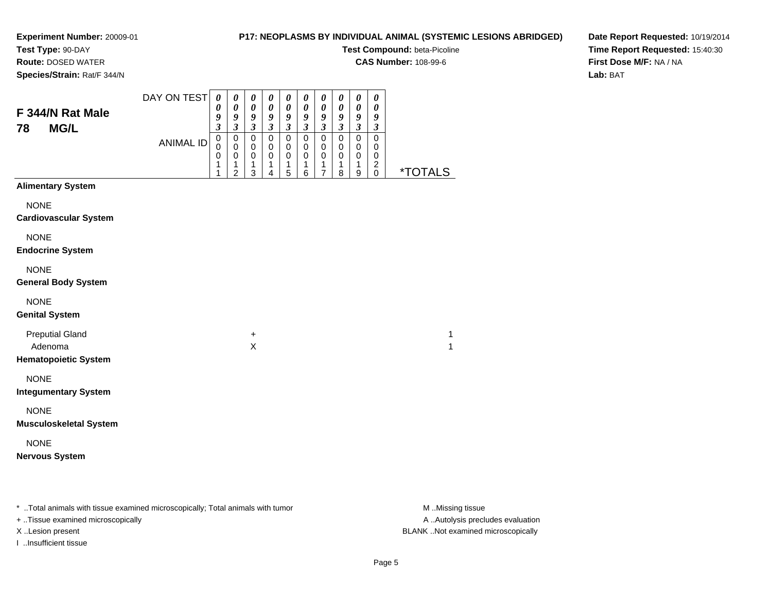# **P17: NEOPLASMS BY INDIVIDUAL ANIMAL (SYSTEMIC LESIONS ABRIDGED)**

**Test Compound:** beta-Picoline

**CAS Number:** 108-99-6

**Species/Strain:** Rat/F 344/N

**Route:** DOSED WATER

**Date Report Requested:** 10/19/2014**Time Report Requested:** 15:40:30**First Dose M/F:** NA / NA**Lab:** BAT

| F 344/N Rat Male<br><b>MG/L</b><br>78                            | DAY ON TEST<br><b>ANIMAL ID</b> | $\boldsymbol{\theta}$<br>0<br>9<br>$\overline{\mathbf{3}}$<br>$\mathbf 0$<br>0<br>0<br>1<br>1 | 0<br>$\boldsymbol{\theta}$<br>$\boldsymbol{g}$<br>$\mathfrak{z}$<br>$\mathbf 0$<br>$\mathbf 0$<br>$\pmb{0}$<br>$\mathbf{1}$<br>$\overline{2}$ | $\pmb{\theta}$<br>$\pmb{\theta}$<br>9<br>$\mathfrak{z}$<br>$\pmb{0}$<br>0<br>$\pmb{0}$<br>1<br>3 | 0<br>$\pmb{\theta}$<br>$\boldsymbol{g}$<br>$\mathfrak{z}$<br>$\mathbf 0$<br>0<br>$\pmb{0}$<br>1<br>4 | 0<br>$\pmb{\theta}$<br>$\frac{9}{3}$<br>$\pmb{0}$<br>$\mathbf 0$<br>0<br>1<br>5 | $\boldsymbol{\theta}$<br>$\pmb{\theta}$<br>$\boldsymbol{g}$<br>$\boldsymbol{\mathfrak{z}}$<br>$\pmb{0}$<br>0<br>0<br>1<br>6 | 0<br>$\boldsymbol{\theta}$<br>$\boldsymbol{g}$<br>$\mathfrak{z}$<br>$\pmb{0}$<br>0<br>$\,0\,$<br>1<br>$\overline{7}$ | $\pmb{\theta}$<br>$\pmb{\theta}$<br>9<br>$\mathfrak{z}$<br>$\pmb{0}$<br>0<br>$\pmb{0}$<br>$\mathbf{1}$<br>8 | $\boldsymbol{\theta}$<br>$\pmb{\theta}$<br>9<br>$\mathfrak{z}$<br>0<br>0<br>$\pmb{0}$<br>1<br>9 | 0<br>0<br>9<br>$\boldsymbol{\mathfrak{z}}$<br>0<br>0<br>0<br>$\overline{c}$<br>0 | <i><b>*TOTALS</b></i> |
|------------------------------------------------------------------|---------------------------------|-----------------------------------------------------------------------------------------------|-----------------------------------------------------------------------------------------------------------------------------------------------|--------------------------------------------------------------------------------------------------|------------------------------------------------------------------------------------------------------|---------------------------------------------------------------------------------|-----------------------------------------------------------------------------------------------------------------------------|----------------------------------------------------------------------------------------------------------------------|-------------------------------------------------------------------------------------------------------------|-------------------------------------------------------------------------------------------------|----------------------------------------------------------------------------------|-----------------------|
| <b>Alimentary System</b>                                         |                                 |                                                                                               |                                                                                                                                               |                                                                                                  |                                                                                                      |                                                                                 |                                                                                                                             |                                                                                                                      |                                                                                                             |                                                                                                 |                                                                                  |                       |
| <b>NONE</b><br><b>Cardiovascular System</b>                      |                                 |                                                                                               |                                                                                                                                               |                                                                                                  |                                                                                                      |                                                                                 |                                                                                                                             |                                                                                                                      |                                                                                                             |                                                                                                 |                                                                                  |                       |
| <b>NONE</b><br><b>Endocrine System</b>                           |                                 |                                                                                               |                                                                                                                                               |                                                                                                  |                                                                                                      |                                                                                 |                                                                                                                             |                                                                                                                      |                                                                                                             |                                                                                                 |                                                                                  |                       |
| <b>NONE</b><br><b>General Body System</b>                        |                                 |                                                                                               |                                                                                                                                               |                                                                                                  |                                                                                                      |                                                                                 |                                                                                                                             |                                                                                                                      |                                                                                                             |                                                                                                 |                                                                                  |                       |
| <b>NONE</b><br><b>Genital System</b>                             |                                 |                                                                                               |                                                                                                                                               |                                                                                                  |                                                                                                      |                                                                                 |                                                                                                                             |                                                                                                                      |                                                                                                             |                                                                                                 |                                                                                  |                       |
| <b>Preputial Gland</b><br>Adenoma<br><b>Hematopoietic System</b> |                                 |                                                                                               |                                                                                                                                               | $\ddot{}$<br>$\pmb{\times}$                                                                      |                                                                                                      |                                                                                 |                                                                                                                             |                                                                                                                      |                                                                                                             |                                                                                                 |                                                                                  | 1<br>1                |
| <b>NONE</b><br><b>Integumentary System</b>                       |                                 |                                                                                               |                                                                                                                                               |                                                                                                  |                                                                                                      |                                                                                 |                                                                                                                             |                                                                                                                      |                                                                                                             |                                                                                                 |                                                                                  |                       |
| <b>NONE</b><br><b>Musculoskeletal System</b>                     |                                 |                                                                                               |                                                                                                                                               |                                                                                                  |                                                                                                      |                                                                                 |                                                                                                                             |                                                                                                                      |                                                                                                             |                                                                                                 |                                                                                  |                       |
| <b>NONE</b><br><b>Nervous System</b>                             |                                 |                                                                                               |                                                                                                                                               |                                                                                                  |                                                                                                      |                                                                                 |                                                                                                                             |                                                                                                                      |                                                                                                             |                                                                                                 |                                                                                  |                       |

\* ..Total animals with tissue examined microscopically; Total animals with tumor **M** . Missing tissue M ..Missing tissue

+ ..Tissue examined microscopically

I ..Insufficient tissue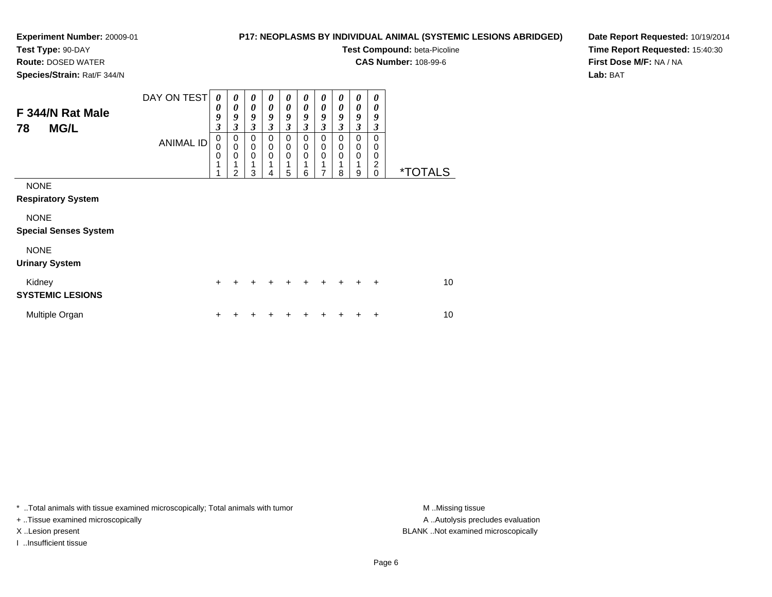**Route:** DOSED WATER**Species/Strain:** Rat/F 344/N

# **P17: NEOPLASMS BY INDIVIDUAL ANIMAL (SYSTEMIC LESIONS ABRIDGED)**

**Test Compound:** beta-Picoline

**CAS Number:** 108-99-6

**Date Report Requested:** 10/19/2014**Time Report Requested:** 15:40:30**First Dose M/F:** NA / NA**Lab:** BAT

| F 344/N Rat Male<br><b>MG/L</b><br>78       | DAY ON TEST<br><b>ANIMAL ID</b> | 0<br>0<br>9<br>3<br>0<br>0<br>$\mathbf 0$<br>1 | $\boldsymbol{\theta}$<br>$\boldsymbol{\theta}$<br>9<br>3<br>$\pmb{0}$<br>$\mathbf 0$<br>$\mathbf 0$<br>2 | $\boldsymbol{\theta}$<br>$\boldsymbol{\theta}$<br>9<br>$\mathfrak{z}$<br>$\pmb{0}$<br>$\mathbf 0$<br>$\mathbf 0$<br>3 | $\boldsymbol{\theta}$<br>$\boldsymbol{\theta}$<br>9<br>$\mathfrak{z}$<br>$\pmb{0}$<br>$\mathbf 0$<br>$\mathbf 0$<br>4 | 0<br>$\boldsymbol{\theta}$<br>9<br>3<br>$\mathbf 0$<br>$\mathbf 0$<br>$\mathbf 0$<br>1<br>5 | 0<br>$\boldsymbol{\theta}$<br>9<br>3<br>0<br>0<br>$\mathbf 0$<br>6 | 0<br>$\boldsymbol{\theta}$<br>9<br>$\boldsymbol{\beta}$<br>$\mathbf 0$<br>$\pmb{0}$<br>$\mathbf 0$<br>1<br>7 | 0<br>0<br>9<br>3<br>$\mathbf 0$<br>0<br>0<br>8 | 0<br>0<br>9<br>$\mathfrak{z}$<br>0<br>0<br>$\mathbf 0$<br>9 | 0<br>0<br>9<br>3<br>$\Omega$<br>0<br>0<br>2<br>$\Omega$ | <i><b>*TOTALS</b></i> |
|---------------------------------------------|---------------------------------|------------------------------------------------|----------------------------------------------------------------------------------------------------------|-----------------------------------------------------------------------------------------------------------------------|-----------------------------------------------------------------------------------------------------------------------|---------------------------------------------------------------------------------------------|--------------------------------------------------------------------|--------------------------------------------------------------------------------------------------------------|------------------------------------------------|-------------------------------------------------------------|---------------------------------------------------------|-----------------------|
| <b>NONE</b><br><b>Respiratory System</b>    |                                 |                                                |                                                                                                          |                                                                                                                       |                                                                                                                       |                                                                                             |                                                                    |                                                                                                              |                                                |                                                             |                                                         |                       |
| <b>NONE</b><br><b>Special Senses System</b> |                                 |                                                |                                                                                                          |                                                                                                                       |                                                                                                                       |                                                                                             |                                                                    |                                                                                                              |                                                |                                                             |                                                         |                       |
| <b>NONE</b><br><b>Urinary System</b>        |                                 |                                                |                                                                                                          |                                                                                                                       |                                                                                                                       |                                                                                             |                                                                    |                                                                                                              |                                                |                                                             |                                                         |                       |
| Kidney<br><b>SYSTEMIC LESIONS</b>           |                                 | $\ddot{}$                                      |                                                                                                          | +                                                                                                                     |                                                                                                                       | $\div$                                                                                      |                                                                    | $\div$                                                                                                       | $\ddot{}$                                      | ÷                                                           | $\ddot{}$                                               | 10                    |
| Multiple Organ                              |                                 | ٠                                              |                                                                                                          |                                                                                                                       |                                                                                                                       |                                                                                             |                                                                    |                                                                                                              |                                                |                                                             | ٠                                                       | 10                    |

\* ..Total animals with tissue examined microscopically; Total animals with tumor **M** . Missing tissue M ..Missing tissue

+ ..Tissue examined microscopically

I ..Insufficient tissue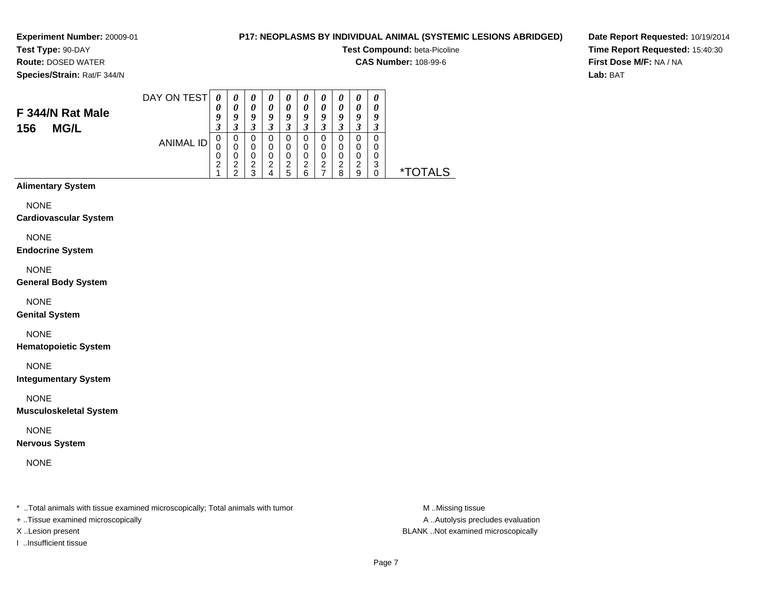# **P17: NEOPLASMS BY INDIVIDUAL ANIMAL (SYSTEMIC LESIONS ABRIDGED)**

**Test Compound:** beta-Picoline

**CAS Number:** 108-99-6

**Date Report Requested:** 10/19/2014**Time Report Requested:** 15:40:30**First Dose M/F:** NA / NA**Lab:** BAT

# **F 344/N Rat Male**

 **Route:** DOSED WATER**Species/Strain:** Rat/F 344/N

**156 MG/L**

| DAY ON TEST      | 0 | 0 | U                     | 0 | 0 | 0 | 0 | 0 | $\boldsymbol{\theta}$ | 0 |  |
|------------------|---|---|-----------------------|---|---|---|---|---|-----------------------|---|--|
|                  | 0 | 0 | $\boldsymbol{\theta}$ | 0 | 0 | 0 | 0 | 0 | $\boldsymbol{\theta}$ | 0 |  |
|                  | 9 | 9 | 9                     | 9 | Q | 9 | 9 | 9 | 9                     | g |  |
|                  | 3 | 3 | 3                     | 3 | 3 | 3 | 3 | 3 | 3                     | 3 |  |
|                  | 0 | 0 | 0                     | O | 0 | 0 | 0 | 0 | O                     | 0 |  |
| <b>ANIMAL ID</b> | 0 | 0 | 0                     | O | 0 | 0 | 0 | 0 | 0                     | 0 |  |
|                  | 0 | 0 | 0                     | 0 | 0 | 0 | 0 | 0 | 0                     | 0 |  |
|                  | 2 | 2 | ◠                     | ⌒ | 2 | 2 | 2 | 2 | 2                     | 3 |  |
|                  | ◢ | ົ | 3                     |   | 5 | 6 | ⇁ | 8 | 9                     | 0 |  |

# **Alimentary System**

NONE

#### **Cardiovascular System**

NONE

#### **Endocrine System**

NONE

#### **General Body System**

NONE

# **Genital System**

NONE

# **Hematopoietic System**

NONE

# **Integumentary System**

NONE

# **Musculoskeletal System**

NONE

# **Nervous System**

NONE

\* ..Total animals with tissue examined microscopically; Total animals with tumor **M** ..Missing tissue M ..Missing tissue

+ ..Tissue examined microscopically

I ..Insufficient tissue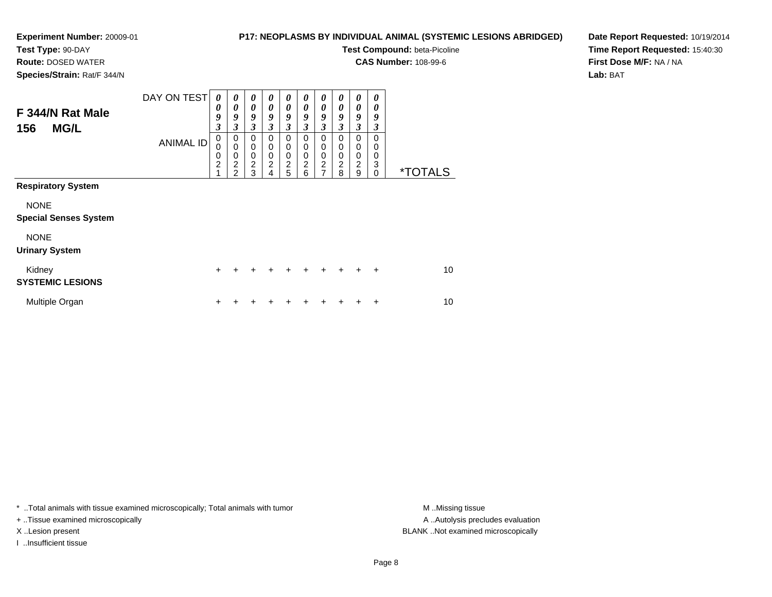# **P17: NEOPLASMS BY INDIVIDUAL ANIMAL (SYSTEMIC LESIONS ABRIDGED)**

**Test Compound:** beta-Picoline

**CAS Number:** 108-99-6

**Species/Strain:** Rat/F 344/N

**Route:** DOSED WATER

**Date Report Requested:** 10/19/2014**Time Report Requested:** 15:40:30**First Dose M/F:** NA / NA**Lab:** BAT

| F 344/N Rat Male<br><b>MG/L</b><br>156      | DAY ON TEST<br><b>ANIMAL ID</b> | $\boldsymbol{\theta}$<br>0<br>9<br>$\boldsymbol{\mathfrak{z}}$<br>$\mathbf 0$<br>0<br>0<br>$\overline{c}$<br>1 | $\boldsymbol{\theta}$<br>$\boldsymbol{\theta}$<br>9<br>$\mathfrak{z}$<br>0<br>$\mathbf 0$<br>$\pmb{0}$<br>$\overline{c}$<br>$\mathfrak{p}$ | $\boldsymbol{\theta}$<br>$\boldsymbol{\theta}$<br>9<br>$\mathfrak{z}$<br>$\mathbf 0$<br>0<br>$\mathbf 0$<br>$\overline{2}$<br>3 | 0<br>0<br>9<br>3<br>$\Omega$<br>0<br>$\mathbf 0$<br>$\overline{c}$<br>4 | 0<br>$\boldsymbol{\theta}$<br>9<br>3<br>0<br>0<br>$\mathbf 0$<br>$\boldsymbol{2}$<br>5 | 0<br>$\theta$<br>9<br>3<br>0<br>0<br>0<br>$\overline{c}$<br>6 | 0<br>0<br>9<br>3<br>0<br>0<br>$\mathbf 0$<br>$\frac{2}{7}$ | 0<br>0<br>9<br>3<br>$\Omega$<br>0<br>0<br>$\overline{2}$<br>8 | 0<br>$\boldsymbol{\theta}$<br>9<br>$\mathfrak{z}$<br>$\Omega$<br>0<br>$\mathbf 0$<br>$\overline{c}$<br>9 | 0<br>0<br>9<br>3<br>$\Omega$<br>0<br>$\mathbf 0$<br>3<br>0 | <i><b>*TOTALS</b></i> |
|---------------------------------------------|---------------------------------|----------------------------------------------------------------------------------------------------------------|--------------------------------------------------------------------------------------------------------------------------------------------|---------------------------------------------------------------------------------------------------------------------------------|-------------------------------------------------------------------------|----------------------------------------------------------------------------------------|---------------------------------------------------------------|------------------------------------------------------------|---------------------------------------------------------------|----------------------------------------------------------------------------------------------------------|------------------------------------------------------------|-----------------------|
| <b>Respiratory System</b>                   |                                 |                                                                                                                |                                                                                                                                            |                                                                                                                                 |                                                                         |                                                                                        |                                                               |                                                            |                                                               |                                                                                                          |                                                            |                       |
| <b>NONE</b><br><b>Special Senses System</b> |                                 |                                                                                                                |                                                                                                                                            |                                                                                                                                 |                                                                         |                                                                                        |                                                               |                                                            |                                                               |                                                                                                          |                                                            |                       |
| <b>NONE</b><br><b>Urinary System</b>        |                                 |                                                                                                                |                                                                                                                                            |                                                                                                                                 |                                                                         |                                                                                        |                                                               |                                                            |                                                               |                                                                                                          |                                                            |                       |
| Kidney<br><b>SYSTEMIC LESIONS</b>           |                                 | $\ddot{}$                                                                                                      | +                                                                                                                                          |                                                                                                                                 |                                                                         | $\div$                                                                                 | $\div$                                                        | $\ddot{}$                                                  | $+$                                                           | $+$                                                                                                      | $+$                                                        | 10                    |
| Multiple Organ                              |                                 | +                                                                                                              |                                                                                                                                            |                                                                                                                                 |                                                                         |                                                                                        |                                                               |                                                            |                                                               |                                                                                                          | ÷                                                          | 10                    |

\* ..Total animals with tissue examined microscopically; Total animals with tumor **M** . Missing tissue M ..Missing tissue

+ ..Tissue examined microscopically

I ..Insufficient tissue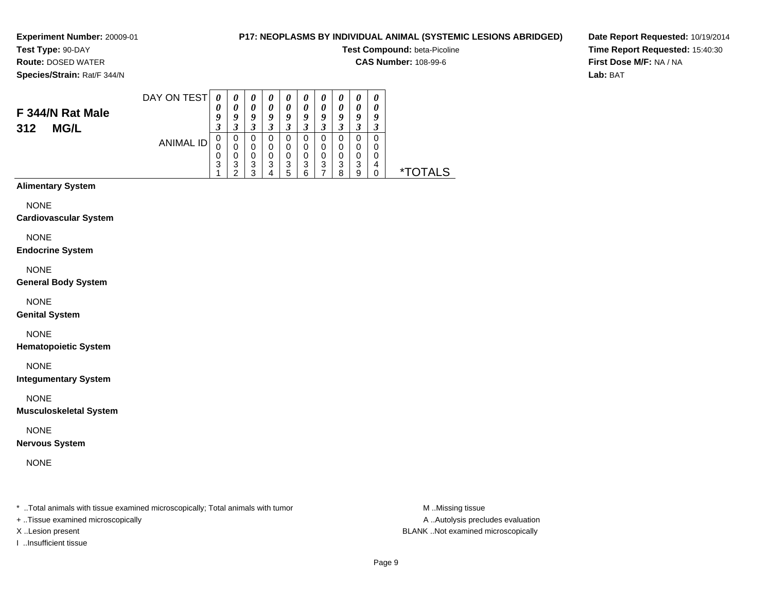# **P17: NEOPLASMS BY INDIVIDUAL ANIMAL (SYSTEMIC LESIONS ABRIDGED)**

**Test Compound:** beta-Picoline

**CAS Number:** 108-99-6

**Date Report Requested:** 10/19/2014**Time Report Requested:** 15:40:30**First Dose M/F:** NA / NA**Lab:** BAT

# **Species/Strain:** Rat/F 344/N

**Route:** DOSED WATER

#### DAY ON TEST**F 344/N Rat Male**ANIMAL ID*0 0 9 3* 0 0 0 3 1*0 0 9 3*0<br>0<br>0<br>3<br>2 *0 0 9 3* 0 0 0 3 3*0 0 9 3* 0 0 0 3 4*0 0 9 3* 0 0 0 3 5*0 0 9 3* 0 0 0 3 6*0 0 9 3* 0 0 0 3 7*0 0 9 3*0<br>0<br>0<br>3<br>8 *0 0 9 3* 0 0 0 3 9*0 0 9 3* 0 0 0 4 $\dot{o}$ 0 \*TOTALS

# **Alimentary System**

**312 MG/L**

**NONE** 

#### **Cardiovascular System**

NONE

#### **Endocrine System**

NONE

#### **General Body System**

NONE

#### **Genital System**

NONE

# **Hematopoietic System**

NONE

# **Integumentary System**

NONE

#### **Musculoskeletal System**

NONE

# **Nervous System**

NONE

\* ..Total animals with tissue examined microscopically; Total animals with tumor **M** ..Missing tissue M ..Missing tissue

- + ..Tissue examined microscopically
- 
- I ..Insufficient tissue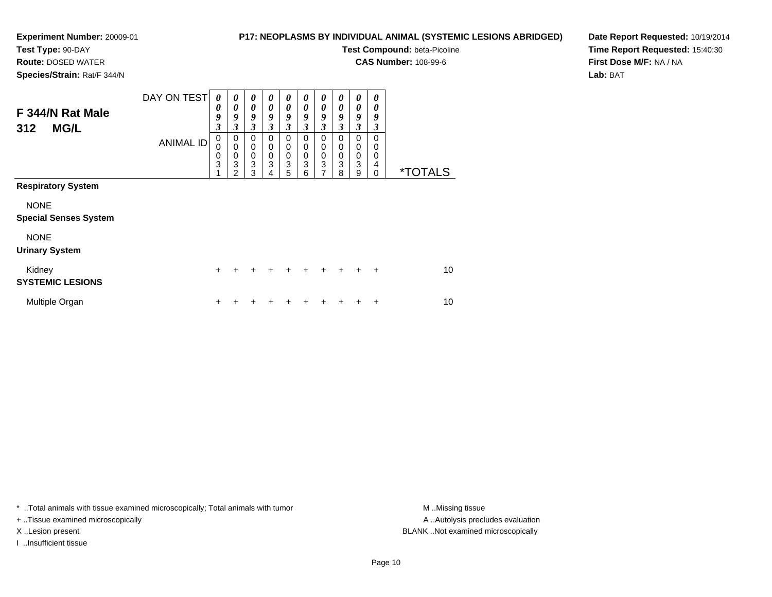**Route:** DOSED WATER**Species/Strain:** Rat/F 344/N

# **P17: NEOPLASMS BY INDIVIDUAL ANIMAL (SYSTEMIC LESIONS ABRIDGED)**

**Test Compound:** beta-Picoline

**CAS Number:** 108-99-6

**Date Report Requested:** 10/19/2014**Time Report Requested:** 15:40:30**First Dose M/F:** NA / NA**Lab:** BAT

| F 344/N Rat Male<br><b>MG/L</b><br>312      | DAY ON TEST      | 0<br>0<br>9<br>$\boldsymbol{\beta}$ | 0<br>0<br>9<br>3                              | $\boldsymbol{\theta}$<br>$\boldsymbol{\theta}$<br>9<br>3 | 0<br>$\boldsymbol{\theta}$<br>9<br>3              | 0<br>0<br>9<br>3              | 0<br>0<br>9<br>3                        | 0<br>0<br>9<br>3      | 0<br>0<br>9<br>$\mathfrak{z}$   | 0<br>0<br>9<br>3                | 0<br>0<br>9<br>3                                    |                       |  |
|---------------------------------------------|------------------|-------------------------------------|-----------------------------------------------|----------------------------------------------------------|---------------------------------------------------|-------------------------------|-----------------------------------------|-----------------------|---------------------------------|---------------------------------|-----------------------------------------------------|-----------------------|--|
|                                             | <b>ANIMAL ID</b> | 0<br>$\mathbf 0$<br>$\frac{0}{3}$   | $\,0\,$<br>$\pmb{0}$<br>$\mathbf 0$<br>3<br>2 | 0<br>$\pmb{0}$<br>$\frac{0}{3}$<br>3                     | $\mathbf 0$<br>$\mathbf 0$<br>$\pmb{0}$<br>3<br>4 | 0<br>0<br>$\pmb{0}$<br>3<br>5 | 0<br>$\mathbf 0$<br>$\pmb{0}$<br>3<br>6 | 0<br>0<br>$_3^0$<br>7 | 0<br>0<br>$\mathbf 0$<br>3<br>8 | 0<br>0<br>$\mathbf 0$<br>3<br>9 | $\mathbf 0$<br>0<br>$\mathbf 0$<br>4<br>$\mathbf 0$ | <i><b>*TOTALS</b></i> |  |
| <b>Respiratory System</b>                   |                  |                                     |                                               |                                                          |                                                   |                               |                                         |                       |                                 |                                 |                                                     |                       |  |
| <b>NONE</b><br><b>Special Senses System</b> |                  |                                     |                                               |                                                          |                                                   |                               |                                         |                       |                                 |                                 |                                                     |                       |  |
| <b>NONE</b><br><b>Urinary System</b>        |                  |                                     |                                               |                                                          |                                                   |                               |                                         |                       |                                 |                                 |                                                     |                       |  |
| Kidney<br><b>SYSTEMIC LESIONS</b>           |                  | $\ddot{}$                           |                                               | ٠                                                        | ٠                                                 | ٠                             | +                                       | ÷                     | $\ddot{}$                       | ٠                               | $\ddot{}$                                           | 10                    |  |
| Multiple Organ                              |                  | ٠                                   |                                               |                                                          |                                                   |                               |                                         |                       |                                 |                                 | +                                                   | 10                    |  |

\* ..Total animals with tissue examined microscopically; Total animals with tumor **M** . Missing tissue M ..Missing tissue

+ ..Tissue examined microscopically

I ..Insufficient tissue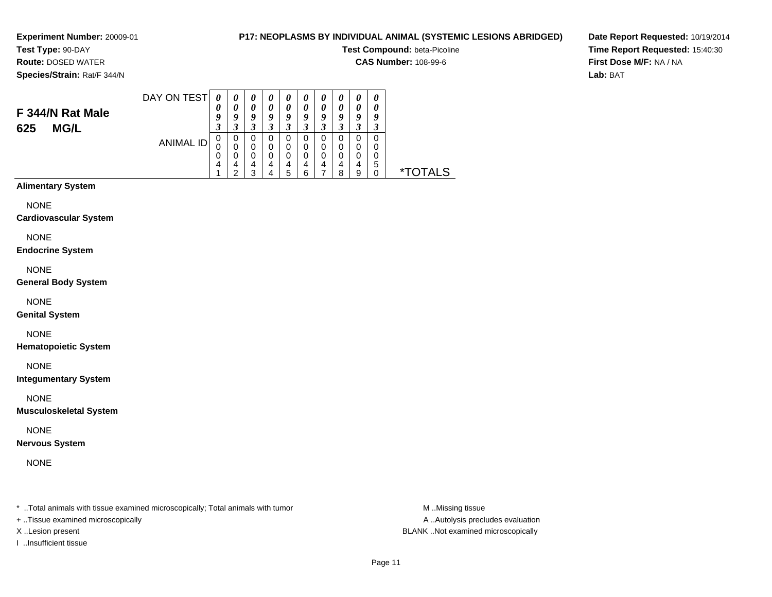# **P17: NEOPLASMS BY INDIVIDUAL ANIMAL (SYSTEMIC LESIONS ABRIDGED)**

**Test Compound:** beta-Picoline

**CAS Number:** 108-99-6

**Date Report Requested:** 10/19/2014**Time Report Requested:** 15:40:30**First Dose M/F:** NA / NA**Lab:** BAT

**Species/Strain:** Rat/F 344/N

**F 344/N Rat Male**

**625 MG/L**

**Test Type:** 90-DAY**Route:** DOSED WATER

| DAY ON TEST      | 0 | 0 | 0 | U | U | $\boldsymbol{\theta}$ | 0 |        |    | U |   |
|------------------|---|---|---|---|---|-----------------------|---|--------|----|---|---|
|                  | U | 0 | 0 | 0 | U | 0                     | 0 |        |    |   |   |
|                  | g | 9 | 9 | y | 9 | g                     | 9 | 9      | u  | о |   |
|                  | 3 | 3 | 3 | 3 | 3 |                       | 3 |        | ш. | 3 |   |
| <b>ANIMAL ID</b> | 0 | 0 | 0 | 0 | 0 | 0                     | 0 |        |    | 0 |   |
|                  | 0 | 0 | 0 | 0 | 0 | 0                     | 0 |        |    | O |   |
|                  | U | 0 | U | 0 | 0 |                       | 0 |        |    |   |   |
|                  | 4 | 4 | 4 | 4 | 4 | 4                     | 4 | 4      | 4  | 5 |   |
|                  |   | ີ | ≏ |   | h | ี่ค                   |   | Ω<br>n | 9  |   | × |

# **Alimentary System**

NONE

#### **Cardiovascular System**

NONE

#### **Endocrine System**

NONE

#### **General Body System**

NONE

#### **Genital System**

NONE

# **Hematopoietic System**

NONE

# **Integumentary System**

NONE

#### **Musculoskeletal System**

NONE

# **Nervous System**

NONE

\* ..Total animals with tissue examined microscopically; Total animals with tumor **M** ..Missing tissue M ..Missing tissue

+ ..Tissue examined microscopically

I ..Insufficient tissue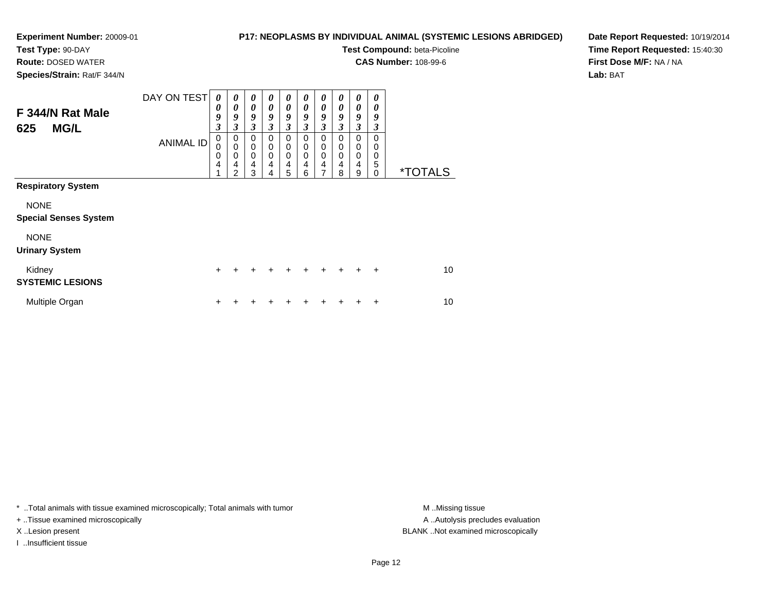# **P17: NEOPLASMS BY INDIVIDUAL ANIMAL (SYSTEMIC LESIONS ABRIDGED)**

**Test Compound:** beta-Picoline

**CAS Number:** 108-99-6

**Date Report Requested:** 10/19/2014**Time Report Requested:** 15:40:30**First Dose M/F:** NA / NA**Lab:** BAT

| <b>Route: DOSED WATER</b>   |  |
|-----------------------------|--|
| Species/Strain: Rat/F 344/N |  |

| F 344/N Rat Male<br><b>MG/L</b><br>625      | DAY ON TEST<br><b>ANIMAL ID</b> | 0<br>0<br>9<br>3<br>0 | $\boldsymbol{\theta}$<br>0<br>9<br>3<br>0         | $\boldsymbol{\theta}$<br>$\boldsymbol{\theta}$<br>9<br>$\mathbf{3}$<br>$\mathbf 0$ | 0<br>0<br>9<br>$\mathbf{3}$<br>$\Omega$ | $\boldsymbol{\theta}$<br>$\boldsymbol{\theta}$<br>9<br>3<br>$\mathbf 0$ | 0<br>0<br>9<br>3<br>$\Omega$ | $\boldsymbol{\theta}$<br>$\boldsymbol{\theta}$<br>9<br>3<br>0 | 0<br>0<br>9<br>3<br>$\Omega$ | 0<br>0<br>9<br>3<br>$\mathbf 0$      | 0<br>0<br>9<br>3<br>$\Omega$ |                       |
|---------------------------------------------|---------------------------------|-----------------------|---------------------------------------------------|------------------------------------------------------------------------------------|-----------------------------------------|-------------------------------------------------------------------------|------------------------------|---------------------------------------------------------------|------------------------------|--------------------------------------|------------------------------|-----------------------|
|                                             |                                 | 0<br>0<br>4<br>4      | $\mathbf 0$<br>$\mathbf 0$<br>4<br>$\overline{2}$ | $\mathbf 0$<br>$\mathbf 0$<br>$\overline{4}$<br>3                                  | 0<br>0<br>$\overline{4}$<br>4           | $\mathbf 0$<br>$\pmb{0}$<br>$\overline{4}$<br>5                         | 0<br>0<br>4<br>6             | 0<br>0<br>$\overline{4}$<br>$\overline{ }$                    | 0<br>0<br>4<br>8             | $\mathbf 0$<br>$\mathbf 0$<br>4<br>9 | 0<br>0<br>5<br>0             | <i><b>*TOTALS</b></i> |
| <b>Respiratory System</b>                   |                                 |                       |                                                   |                                                                                    |                                         |                                                                         |                              |                                                               |                              |                                      |                              |                       |
| <b>NONE</b><br><b>Special Senses System</b> |                                 |                       |                                                   |                                                                                    |                                         |                                                                         |                              |                                                               |                              |                                      |                              |                       |
| <b>NONE</b><br><b>Urinary System</b>        |                                 |                       |                                                   |                                                                                    |                                         |                                                                         |                              |                                                               |                              |                                      |                              |                       |
| Kidney<br><b>SYSTEMIC LESIONS</b>           |                                 | $\ddot{}$             |                                                   | $\div$                                                                             |                                         | +                                                                       | +                            | $\ddot{}$                                                     |                              | +                                    | $\div$                       | 10                    |
| Multiple Organ                              |                                 | ÷                     |                                                   |                                                                                    |                                         |                                                                         |                              |                                                               |                              |                                      | +                            | 10                    |

\* ..Total animals with tissue examined microscopically; Total animals with tumor **M** . Missing tissue M ..Missing tissue

+ ..Tissue examined microscopically

I ..Insufficient tissue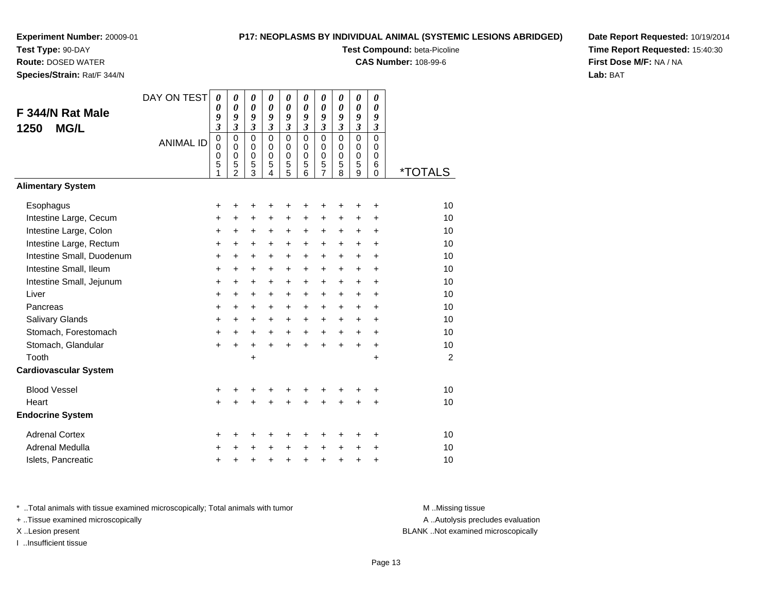**Test Type:** 90-DAY

**Route:** DOSED WATER

**Species/Strain:** Rat/F 344/N

# **P17: NEOPLASMS BY INDIVIDUAL ANIMAL (SYSTEMIC LESIONS ABRIDGED)**

**Test Compound:** beta-Picoline

**CAS Number:** 108-99-6

**Date Report Requested:** 10/19/2014**Time Report Requested:** 15:40:30**First Dose M/F:** NA / NA**Lab:** BAT

| F 344/N Rat Male<br><b>MG/L</b><br>1250 | DAY ON TEST      | 0<br>$\boldsymbol{\theta}$<br>9<br>$\mathfrak{z}$   | 0<br>0<br>9<br>$\mathfrak{z}$                                    | 0<br>0<br>9<br>3                     | 0<br>0<br>9<br>$\boldsymbol{\beta}$           | 0<br>$\boldsymbol{\theta}$<br>9<br>3           | 0<br>0<br>9<br>$\overline{\mathbf{3}}$    | 0<br>0<br>9<br>3                          | 0<br>$\boldsymbol{\theta}$<br>9<br>$\mathfrak{z}$ | 0<br>$\boldsymbol{\theta}$<br>9<br>$\overline{\mathbf{3}}$ | 0<br>0<br>9<br>$\boldsymbol{\mathfrak{z}}$ |                       |
|-----------------------------------------|------------------|-----------------------------------------------------|------------------------------------------------------------------|--------------------------------------|-----------------------------------------------|------------------------------------------------|-------------------------------------------|-------------------------------------------|---------------------------------------------------|------------------------------------------------------------|--------------------------------------------|-----------------------|
|                                         | <b>ANIMAL ID</b> | $\mathbf 0$<br>$\mathbf 0$<br>$\mathbf 0$<br>5<br>1 | $\mathbf 0$<br>$\mathbf 0$<br>$\mathbf 0$<br>5<br>$\overline{2}$ | $\Omega$<br>0<br>$\pmb{0}$<br>5<br>3 | $\Omega$<br>$\Omega$<br>$\mathbf 0$<br>5<br>4 | $\mathbf 0$<br>0<br>$\pmb{0}$<br>$\frac{5}{5}$ | $\mathbf 0$<br>0<br>$\mathbf 0$<br>5<br>6 | $\mathbf 0$<br>0<br>$\mathsf 0$<br>5<br>7 | $\mathbf 0$<br>0<br>$\mathbf 0$<br>5<br>8         | $\mathbf 0$<br>0<br>$\mathbf 0$<br>5<br>9                  | 0<br>0<br>$\mathbf 0$<br>6<br>0            | <i><b>*TOTALS</b></i> |
| <b>Alimentary System</b>                |                  |                                                     |                                                                  |                                      |                                               |                                                |                                           |                                           |                                                   |                                                            |                                            |                       |
| Esophagus                               |                  | +                                                   | +                                                                | +                                    | +                                             | +                                              | +                                         | +                                         |                                                   | +                                                          | +                                          | 10                    |
| Intestine Large, Cecum                  |                  | +                                                   | +                                                                | +                                    | +                                             | +                                              | +                                         | +                                         | +                                                 | +                                                          | +                                          | 10                    |
| Intestine Large, Colon                  |                  | $\ddot{}$                                           | $\ddot{}$                                                        | +                                    | +                                             | +                                              | +                                         | +                                         | $\ddot{}$                                         | $\ddot{}$                                                  | $\ddot{}$                                  | 10                    |
| Intestine Large, Rectum                 |                  | $\ddot{}$                                           | $\ddot{}$                                                        | +                                    | $\ddot{}$                                     | $\ddot{}$                                      | $\ddot{}$                                 | $\ddot{}$                                 | $\ddot{}$                                         | $\ddot{}$                                                  | $\ddot{}$                                  | 10                    |
| Intestine Small, Duodenum               |                  | $\ddot{}$                                           | $\ddot{}$                                                        | $\ddot{}$                            | $\ddot{}$                                     | +                                              | $\ddot{}$                                 | +                                         | $\ddot{}$                                         | $+$                                                        | $\ddot{}$                                  | 10                    |
| Intestine Small, Ileum                  |                  | $\ddot{}$                                           | +                                                                | +                                    | +                                             | +                                              | +                                         | +                                         | +                                                 | +                                                          | +                                          | 10                    |
| Intestine Small, Jejunum                |                  | +                                                   | $\ddot{}$                                                        | $\ddot{}$                            | $\ddot{}$                                     | $\ddot{}$                                      | +                                         | +                                         | $\ddot{}$                                         | $\ddot{}$                                                  | $\ddot{}$                                  | 10                    |
| Liver                                   |                  | +                                                   | +                                                                | +                                    | +                                             | $\ddot{}$                                      | $\ddot{}$                                 | +                                         | $\ddot{}$                                         | $\ddot{}$                                                  | +                                          | 10                    |
| Pancreas                                |                  | +                                                   | $\ddot{}$                                                        | $\ddot{}$                            | $\ddot{}$                                     | $\ddot{}$                                      | $\ddot{}$                                 | +                                         | $\ddot{}$                                         | $\ddot{}$                                                  | $\ddot{}$                                  | 10                    |
| Salivary Glands                         |                  | $\ddot{}$                                           | +                                                                | +                                    | +                                             | +                                              | $\ddot{}$                                 | +                                         | $\ddot{}$                                         | +                                                          | +                                          | 10                    |
| Stomach, Forestomach                    |                  | $\ddot{}$                                           | $\ddot{}$                                                        | $\ddot{}$                            | $\ddot{}$                                     | $\ddot{}$                                      | $+$                                       | $+$                                       | $\ddot{}$                                         | $\ddot{}$                                                  | $\ddot{}$                                  | 10                    |
| Stomach, Glandular                      |                  | $\ddot{}$                                           | $\ddot{}$                                                        | $\ddot{}$                            | $\ddot{}$                                     | $\ddot{}$                                      | $\ddot{}$                                 | $\ddot{}$                                 | $\ddot{}$                                         | $\ddot{}$                                                  | +                                          | 10                    |
| Tooth                                   |                  |                                                     |                                                                  | $\ddot{}$                            |                                               |                                                |                                           |                                           |                                                   |                                                            | $\ddot{}$                                  | $\overline{2}$        |
| <b>Cardiovascular System</b>            |                  |                                                     |                                                                  |                                      |                                               |                                                |                                           |                                           |                                                   |                                                            |                                            |                       |
| <b>Blood Vessel</b>                     |                  | +                                                   | +                                                                | +                                    | +                                             | +                                              | +                                         | +                                         | +                                                 |                                                            | +                                          | 10                    |
| Heart                                   |                  | $\ddot{}$                                           |                                                                  | $\ddot{}$                            | $\ddot{}$                                     | $\ddot{}$                                      | $\ddot{}$                                 | $\ddot{}$                                 | $\ddot{}$                                         | $\ddot{}$                                                  | $\ddot{}$                                  | 10                    |
| <b>Endocrine System</b>                 |                  |                                                     |                                                                  |                                      |                                               |                                                |                                           |                                           |                                                   |                                                            |                                            |                       |
| <b>Adrenal Cortex</b>                   |                  | +                                                   | +                                                                | +                                    | +                                             | +                                              | +                                         | +                                         | +                                                 | +                                                          | +                                          | 10                    |
| Adrenal Medulla                         |                  | $\ddot{}$                                           |                                                                  | $\ddot{}$                            | $\ddot{}$                                     | $\ddot{}$                                      | $\ddot{}$                                 | $\ddot{}$                                 | $\ddot{}$                                         | $\ddot{}$                                                  | +                                          | 10                    |
| Islets, Pancreatic                      |                  | +                                                   | +                                                                | +                                    | +                                             | $\pmb{+}$                                      | +                                         | +                                         | $\ddot{}$                                         | +                                                          | +                                          | 10                    |

\* ..Total animals with tissue examined microscopically; Total animals with tumor **M** . Missing tissue M ..Missing tissue

+ ..Tissue examined microscopically

I ..Insufficient tissue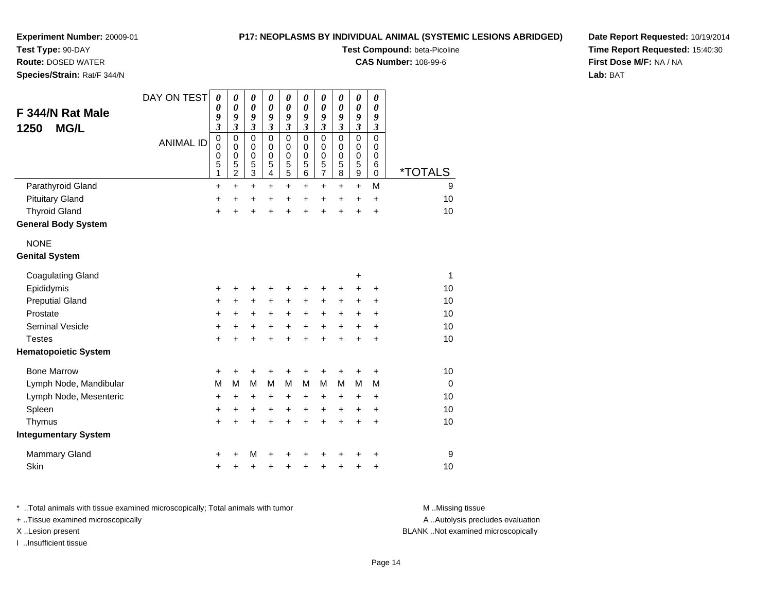# **Test Type:** 90-DAY

**Route:** DOSED WATER

**Species/Strain:** Rat/F 344/N

# **P17: NEOPLASMS BY INDIVIDUAL ANIMAL (SYSTEMIC LESIONS ABRIDGED)**

**Test Compound:** beta-Picoline

**CAS Number:** 108-99-6

**Date Report Requested:** 10/19/2014**Time Report Requested:** 15:40:30**First Dose M/F:** NA / NA**Lab:** BAT

| F 344/N Rat Male<br><b>MG/L</b><br>1250 | DAY ON TEST      | $\boldsymbol{\theta}$<br>0<br>9<br>$\overline{\mathbf{3}}$ | 0<br>$\boldsymbol{\theta}$<br>9<br>3                   | 0<br>$\boldsymbol{\theta}$<br>9<br>$\overline{\mathbf{3}}$ | 0<br>0<br>9<br>$\mathfrak{z}$                                   | 0<br>$\boldsymbol{\theta}$<br>9<br>$\mathfrak{z}$ | 0<br>$\boldsymbol{\theta}$<br>9<br>$\mathfrak{z}$ | 0<br>$\boldsymbol{\theta}$<br>9<br>3                           | 0<br>0<br>9<br>$\overline{\mathbf{3}}$    | 0<br>$\pmb{\theta}$<br>9<br>$\overline{\mathbf{3}}$      | 0<br>0<br>9<br>3                |                       |
|-----------------------------------------|------------------|------------------------------------------------------------|--------------------------------------------------------|------------------------------------------------------------|-----------------------------------------------------------------|---------------------------------------------------|---------------------------------------------------|----------------------------------------------------------------|-------------------------------------------|----------------------------------------------------------|---------------------------------|-----------------------|
|                                         | <b>ANIMAL ID</b> | $\pmb{0}$<br>0<br>0<br>5<br>1                              | $\mathbf 0$<br>0<br>$\mathbf 0$<br>5<br>$\overline{c}$ | $\mathbf 0$<br>$\mathbf 0$<br>$\mathbf 0$<br>5<br>3        | $\mathbf 0$<br>0<br>$\mathbf 0$<br>5<br>$\overline{\mathbf{4}}$ | $\pmb{0}$<br>0<br>$\mathbf 0$<br>$\mathbf 5$<br>5 | $\mathbf 0$<br>0<br>$\mathbf 0$<br>5<br>6         | $\mathbf 0$<br>$\mathbf 0$<br>$\pmb{0}$<br>5<br>$\overline{7}$ | $\mathbf 0$<br>0<br>$\mathbf 0$<br>5<br>8 | $\mathsf 0$<br>$\mathbf 0$<br>0<br>5<br>$\boldsymbol{9}$ | $\mathsf 0$<br>0<br>0<br>6<br>0 | <i><b>*TOTALS</b></i> |
| Parathyroid Gland                       |                  | $\ddot{}$                                                  | $\ddot{}$                                              | $\ddot{}$                                                  | $\ddot{}$                                                       | $\ddot{}$                                         | $\ddot{}$                                         | $\ddot{}$                                                      | $\ddot{}$                                 | $+$                                                      | M                               | 9                     |
| <b>Pituitary Gland</b>                  |                  | +                                                          | +                                                      | +                                                          | $\ddot{}$                                                       | $\ddot{}$                                         | $\ddot{}$                                         | $\ddot{}$                                                      | $\pm$                                     | $\ddot{}$                                                | $\ddot{}$                       | 10                    |
| <b>Thyroid Gland</b>                    |                  | $\ddot{}$                                                  |                                                        | ÷                                                          | $\ddot{}$                                                       | $\ddot{}$                                         | ÷                                                 | $\ddot{}$                                                      | $\ddot{}$                                 | $\ddot{}$                                                | $\ddot{}$                       | 10                    |
| <b>General Body System</b>              |                  |                                                            |                                                        |                                                            |                                                                 |                                                   |                                                   |                                                                |                                           |                                                          |                                 |                       |
| <b>NONE</b>                             |                  |                                                            |                                                        |                                                            |                                                                 |                                                   |                                                   |                                                                |                                           |                                                          |                                 |                       |
| <b>Genital System</b>                   |                  |                                                            |                                                        |                                                            |                                                                 |                                                   |                                                   |                                                                |                                           |                                                          |                                 |                       |
| <b>Coagulating Gland</b>                |                  |                                                            |                                                        |                                                            |                                                                 |                                                   |                                                   |                                                                |                                           | +                                                        |                                 | 1                     |
| Epididymis                              |                  | +                                                          |                                                        | +                                                          | +                                                               | +                                                 | +                                                 | +                                                              | +                                         | $\ddot{}$                                                | $\ddot{}$                       | 10                    |
| <b>Preputial Gland</b>                  |                  | +                                                          | +                                                      | +                                                          | +                                                               | +                                                 | +                                                 | +                                                              | +                                         | +                                                        | +                               | 10                    |
| Prostate                                |                  | +                                                          | +                                                      | +                                                          | +                                                               | +                                                 | +                                                 | +                                                              | $\ddot{}$                                 | $\ddot{}$                                                | +                               | 10                    |
| <b>Seminal Vesicle</b>                  |                  | $\pmb{+}$                                                  | +                                                      | $\ddot{}$                                                  | $\ddot{}$                                                       | $+$                                               | $+$                                               | $+$                                                            | $+$                                       | $\ddot{}$                                                | $\ddot{}$                       | 10                    |
| <b>Testes</b>                           |                  | $\ddot{}$                                                  | $\ddot{}$                                              | $\ddot{}$                                                  | $\ddot{}$                                                       | $\ddot{}$                                         | $\ddot{}$                                         | $\ddot{}$                                                      | $\ddot{}$                                 | $+$                                                      | $\ddot{}$                       | 10                    |
| <b>Hematopoietic System</b>             |                  |                                                            |                                                        |                                                            |                                                                 |                                                   |                                                   |                                                                |                                           |                                                          |                                 |                       |
| <b>Bone Marrow</b>                      |                  | $\ddot{}$                                                  | $\ddot{}$                                              | +                                                          | ٠                                                               | +                                                 | +                                                 | +                                                              | +                                         | $\div$                                                   | +                               | 10                    |
| Lymph Node, Mandibular                  |                  | M                                                          | M                                                      | M                                                          | M                                                               | M                                                 | м                                                 | M                                                              | м                                         | M                                                        | M                               | $\Omega$              |
| Lymph Node, Mesenteric                  |                  | $\ddot{}$                                                  | +                                                      | +                                                          | +                                                               | +                                                 | +                                                 | +                                                              | $\pm$                                     | +                                                        | $\ddot{}$                       | 10                    |
| Spleen                                  |                  | +                                                          | +                                                      | +                                                          | +                                                               | $\ddot{}$                                         | $\ddot{}$                                         | $\ddot{}$                                                      | $\ddot{}$                                 | $\ddot{}$                                                | +                               | 10                    |
| Thymus                                  |                  | $\ddot{}$                                                  | $\div$                                                 | $\ddot{}$                                                  | $\ddot{}$                                                       | $\ddot{}$                                         | $\ddot{}$                                         | $\ddot{}$                                                      | $\ddot{}$                                 | $\ddot{}$                                                | $\ddot{}$                       | 10                    |
| <b>Integumentary System</b>             |                  |                                                            |                                                        |                                                            |                                                                 |                                                   |                                                   |                                                                |                                           |                                                          |                                 |                       |
| <b>Mammary Gland</b>                    |                  | +                                                          |                                                        | M                                                          |                                                                 | +                                                 |                                                   | +                                                              |                                           |                                                          | +                               | 9                     |
| Skin                                    |                  | $\ddot{}$                                                  |                                                        | +                                                          | +                                                               | +                                                 | +                                                 | +                                                              | +                                         | ٠                                                        | +                               | 10                    |

\* ..Total animals with tissue examined microscopically; Total animals with tumor **M** . Missing tissue M ..Missing tissue A ..Autolysis precludes evaluation + ..Tissue examined microscopically X ..Lesion present BLANK ..Not examined microscopicallyI ..Insufficient tissue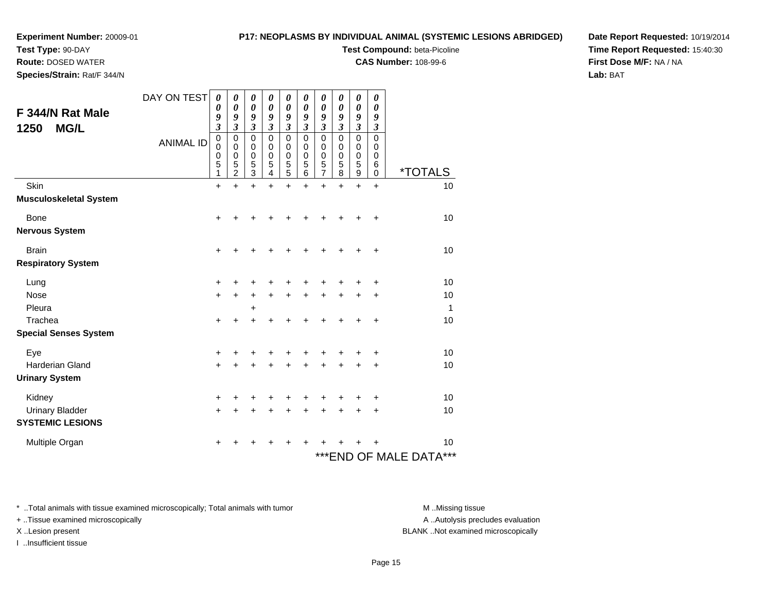# **Test Type:** 90-DAY

**Route:** DOSED WATER

**Species/Strain:** Rat/F 344/N

# **P17: NEOPLASMS BY INDIVIDUAL ANIMAL (SYSTEMIC LESIONS ABRIDGED)**

**Test Compound:** beta-Picoline

**CAS Number:** 108-99-6

**Date Report Requested:** 10/19/2014**Time Report Requested:** 15:40:30**First Dose M/F:** NA / NA**Lab:** BAT

| F 344/N Rat Male<br><b>MG/L</b><br>1250 | DAY ON TEST<br><b>ANIMAL ID</b> | 0<br>0<br>9<br>$\mathfrak{z}$<br>$\pmb{0}$<br>$\mathbf 0$<br>0 | 0<br>$\boldsymbol{\theta}$<br>9<br>3<br>0<br>0<br>$\mathbf 0$ | 0<br>$\boldsymbol{\theta}$<br>9<br>3<br>0<br>0<br>$\pmb{0}$ | 0<br>$\boldsymbol{\theta}$<br>9<br>$\overline{\mathbf{3}}$<br>0<br>0<br>0 | 0<br>$\boldsymbol{\theta}$<br>9<br>$\overline{\mathbf{3}}$<br>$\mathbf 0$<br>0<br>0 | 0<br>0<br>9<br>3<br>0<br>0<br>0 | 0<br>$\boldsymbol{\theta}$<br>9<br>$\mathfrak{z}$<br>0<br>$\mathbf 0$<br>0 | 0<br>$\boldsymbol{\theta}$<br>9<br>3<br>$\mathbf 0$<br>0<br>0 | 0<br>$\boldsymbol{\theta}$<br>9<br>$\overline{\mathbf{3}}$<br>$\mathbf 0$<br>0<br>$\mathbf 0$ | 0<br>$\boldsymbol{\theta}$<br>9<br>3<br>0<br>0<br>0 |                            |
|-----------------------------------------|---------------------------------|----------------------------------------------------------------|---------------------------------------------------------------|-------------------------------------------------------------|---------------------------------------------------------------------------|-------------------------------------------------------------------------------------|---------------------------------|----------------------------------------------------------------------------|---------------------------------------------------------------|-----------------------------------------------------------------------------------------------|-----------------------------------------------------|----------------------------|
|                                         |                                 | 5<br>1                                                         | 5<br>$\overline{2}$                                           | 5<br>3                                                      | 5<br>4                                                                    | 5<br>5                                                                              | 5<br>6                          | 5<br>7                                                                     | 5<br>8                                                        | 5<br>9                                                                                        | 6<br>$\Omega$                                       | <i><b>*TOTALS</b></i>      |
| Skin                                    |                                 | $\ddot{}$                                                      | +                                                             | $\ddot{}$                                                   | +                                                                         | $\ddot{}$                                                                           | +                               | $\ddot{}$                                                                  | +                                                             | $\ddot{}$                                                                                     | $\ddot{}$                                           | 10                         |
| <b>Musculoskeletal System</b>           |                                 |                                                                |                                                               |                                                             |                                                                           |                                                                                     |                                 |                                                                            |                                                               |                                                                                               |                                                     |                            |
| <b>Bone</b>                             |                                 | +                                                              |                                                               |                                                             |                                                                           |                                                                                     |                                 |                                                                            |                                                               |                                                                                               | ٠                                                   | 10                         |
| <b>Nervous System</b>                   |                                 |                                                                |                                                               |                                                             |                                                                           |                                                                                     |                                 |                                                                            |                                                               |                                                                                               |                                                     |                            |
| <b>Brain</b>                            |                                 | $\ddot{}$                                                      |                                                               |                                                             |                                                                           |                                                                                     |                                 |                                                                            |                                                               |                                                                                               | +                                                   | 10                         |
| <b>Respiratory System</b>               |                                 |                                                                |                                                               |                                                             |                                                                           |                                                                                     |                                 |                                                                            |                                                               |                                                                                               |                                                     |                            |
| Lung                                    |                                 | +                                                              |                                                               | +                                                           |                                                                           | +                                                                                   | +                               | +                                                                          |                                                               |                                                                                               | +                                                   | 10                         |
| <b>Nose</b>                             |                                 | $\ddot{}$                                                      | +                                                             | +                                                           |                                                                           | $\ddot{}$                                                                           | +                               | +                                                                          |                                                               |                                                                                               | +                                                   | 10                         |
| Pleura                                  |                                 |                                                                |                                                               | +                                                           |                                                                           |                                                                                     |                                 |                                                                            |                                                               |                                                                                               |                                                     | 1                          |
| Trachea                                 |                                 | $\ddot{}$                                                      | +                                                             | $\ddot{}$                                                   |                                                                           | +                                                                                   |                                 |                                                                            |                                                               |                                                                                               | ٠                                                   | 10                         |
| <b>Special Senses System</b>            |                                 |                                                                |                                                               |                                                             |                                                                           |                                                                                     |                                 |                                                                            |                                                               |                                                                                               |                                                     |                            |
| Eye                                     |                                 | $\ddot{}$                                                      |                                                               |                                                             |                                                                           |                                                                                     |                                 |                                                                            |                                                               |                                                                                               |                                                     | 10                         |
| <b>Harderian Gland</b>                  |                                 | $\ddot{}$                                                      |                                                               | +                                                           |                                                                           | +                                                                                   |                                 | +                                                                          |                                                               |                                                                                               |                                                     | 10                         |
| <b>Urinary System</b>                   |                                 |                                                                |                                                               |                                                             |                                                                           |                                                                                     |                                 |                                                                            |                                                               |                                                                                               |                                                     |                            |
| Kidney                                  |                                 | $\ddot{}$                                                      |                                                               |                                                             |                                                                           | +                                                                                   |                                 |                                                                            |                                                               |                                                                                               |                                                     | 10                         |
| <b>Urinary Bladder</b>                  |                                 | +                                                              |                                                               | +                                                           | +                                                                         | +                                                                                   | +                               | +                                                                          | ÷                                                             | ÷                                                                                             | $\ddot{}$                                           | 10                         |
| <b>SYSTEMIC LESIONS</b>                 |                                 |                                                                |                                                               |                                                             |                                                                           |                                                                                     |                                 |                                                                            |                                                               |                                                                                               |                                                     |                            |
| Multiple Organ                          |                                 | +                                                              |                                                               |                                                             |                                                                           |                                                                                     |                                 |                                                                            |                                                               |                                                                                               |                                                     | 10                         |
|                                         |                                 |                                                                |                                                               |                                                             |                                                                           |                                                                                     |                                 |                                                                            |                                                               |                                                                                               |                                                     | ***<br>***END OF MALE DATA |

\* ..Total animals with tissue examined microscopically; Total animals with tumor **M** . Missing tissue M ..Missing tissue

+ ..Tissue examined microscopically

I ..Insufficient tissue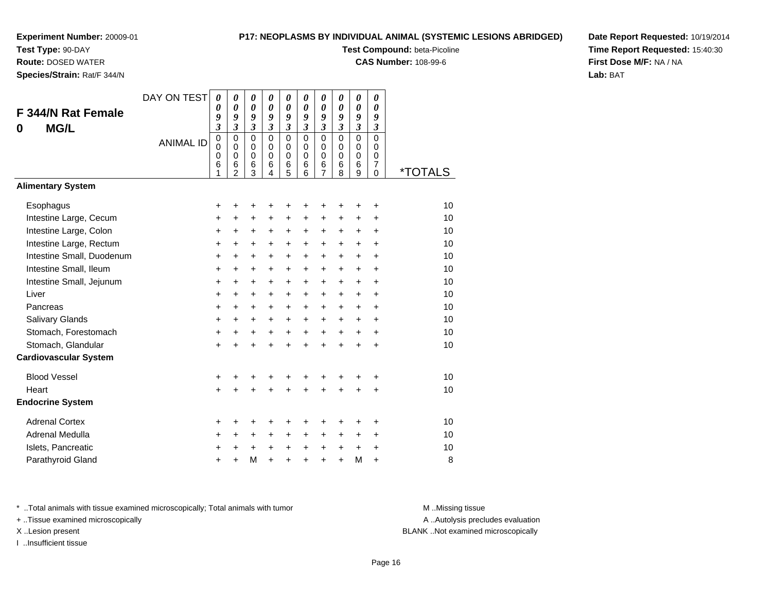**Test Type:** 90-DAY

**Route:** DOSED WATER

**Species/Strain:** Rat/F 344/N

# **P17: NEOPLASMS BY INDIVIDUAL ANIMAL (SYSTEMIC LESIONS ABRIDGED)**

**Test Compound:** beta-Picoline

**CAS Number:** 108-99-6

**Date Report Requested:** 10/19/2014**Time Report Requested:** 15:40:30**First Dose M/F:** NA / NA**Lab:** BAT

| F 344/N Rat Female<br><b>MG/L</b><br>0 | DAY ON TEST<br><b>ANIMAL ID</b> | 0<br>0<br>9<br>$\overline{\mathbf{3}}$<br>$\pmb{0}$<br>0<br>0<br>6 | 0<br>0<br>9<br>$\overline{\mathbf{3}}$<br>$\mathbf 0$<br>$\Omega$<br>$\mathbf 0$<br>6 | $\boldsymbol{\theta}$<br>0<br>9<br>$\mathfrak{z}$<br>$\overline{0}$<br>0<br>$\mathbf 0$<br>6 | $\boldsymbol{\theta}$<br>0<br>9<br>$\overline{\mathbf{3}}$<br>$\mathbf 0$<br>$\Omega$<br>$\mathbf 0$<br>6 | 0<br>0<br>9<br>3<br>$\overline{0}$<br>0<br>$\mathsf 0$<br>6 | 0<br>$\boldsymbol{\theta}$<br>9<br>$\mathfrak{z}$<br>$\overline{0}$<br>$\Omega$<br>$\Omega$<br>6 | 0<br>0<br>9<br>$\mathfrak{z}$<br>$\mathbf 0$<br>$\mathbf 0$<br>$\mathbf 0$<br>6 | 0<br>0<br>9<br>$\overline{\mathbf{3}}$<br>$\mathbf 0$<br>$\mathbf 0$<br>$\mathbf 0$<br>6 | $\boldsymbol{\theta}$<br>0<br>9<br>$\boldsymbol{\beta}$<br>$\mathbf 0$<br>$\Omega$<br>$\mathbf 0$<br>6 | 0<br>0<br>9<br>$\boldsymbol{\beta}$<br>$\mathbf 0$<br>0<br>$\mathbf 0$<br>$\overline{7}$ |                       |
|----------------------------------------|---------------------------------|--------------------------------------------------------------------|---------------------------------------------------------------------------------------|----------------------------------------------------------------------------------------------|-----------------------------------------------------------------------------------------------------------|-------------------------------------------------------------|--------------------------------------------------------------------------------------------------|---------------------------------------------------------------------------------|------------------------------------------------------------------------------------------|--------------------------------------------------------------------------------------------------------|------------------------------------------------------------------------------------------|-----------------------|
|                                        |                                 | 1                                                                  | $\overline{2}$                                                                        | 3                                                                                            | 4                                                                                                         | 5                                                           | 6                                                                                                | $\overline{7}$                                                                  | 8                                                                                        | 9                                                                                                      | $\mathbf 0$                                                                              | <i><b>*TOTALS</b></i> |
| <b>Alimentary System</b>               |                                 |                                                                    |                                                                                       |                                                                                              |                                                                                                           |                                                             |                                                                                                  |                                                                                 |                                                                                          |                                                                                                        |                                                                                          |                       |
| Esophagus                              |                                 | +                                                                  | +                                                                                     | +                                                                                            | +                                                                                                         | +                                                           | +                                                                                                |                                                                                 | +                                                                                        | +                                                                                                      | +                                                                                        | 10                    |
| Intestine Large, Cecum                 |                                 | +                                                                  | +                                                                                     | +                                                                                            | $\ddot{}$                                                                                                 | $\pm$                                                       | $\ddot{}$                                                                                        | $\ddot{}$                                                                       | +                                                                                        | +                                                                                                      | +                                                                                        | 10                    |
| Intestine Large, Colon                 |                                 | $\ddot{}$                                                          | $\ddot{}$                                                                             | $\ddot{}$                                                                                    | $\ddot{}$                                                                                                 | $\ddot{}$                                                   | $\ddot{}$                                                                                        | $\ddot{}$                                                                       | $\ddot{}$                                                                                | $\ddot{}$                                                                                              | $\ddot{}$                                                                                | 10                    |
| Intestine Large, Rectum                |                                 | +                                                                  | +                                                                                     | +                                                                                            | $\ddot{}$                                                                                                 | $\ddot{}$                                                   | $\ddot{}$                                                                                        | $\ddot{}$                                                                       | $\ddot{}$                                                                                | +                                                                                                      | +                                                                                        | 10                    |
| Intestine Small, Duodenum              |                                 | $\ddot{}$                                                          | $\ddot{}$                                                                             | $\ddot{}$                                                                                    | $\ddot{}$                                                                                                 | $\ddot{}$                                                   | $\ddot{}$                                                                                        | $+$                                                                             | $\ddot{}$                                                                                | $\ddot{}$                                                                                              | $\ddot{}$                                                                                | 10                    |
| Intestine Small, Ileum                 |                                 | +                                                                  | $\ddot{}$                                                                             | $\ddot{}$                                                                                    | $\ddot{}$                                                                                                 | $\ddot{}$                                                   | $\ddot{}$                                                                                        | $\ddot{}$                                                                       | $\ddot{}$                                                                                | $\ddot{}$                                                                                              | $\ddot{}$                                                                                | 10                    |
| Intestine Small, Jejunum               |                                 | $\ddot{}$                                                          | $\ddot{}$                                                                             | $\ddot{}$                                                                                    | $\ddot{}$                                                                                                 | $\ddot{}$                                                   | $\ddot{}$                                                                                        | $\ddot{}$                                                                       | $\ddot{}$                                                                                | $\ddot{}$                                                                                              | $\ddot{}$                                                                                | 10                    |
| Liver                                  |                                 | $\ddot{}$                                                          | $\ddot{}$                                                                             | $\ddot{}$                                                                                    | $\ddot{}$                                                                                                 | $+$                                                         | $\ddot{}$                                                                                        | $\ddot{}$                                                                       | $\ddot{}$                                                                                | $\ddot{}$                                                                                              | $\ddot{}$                                                                                | 10                    |
| Pancreas                               |                                 | $\ddot{}$                                                          | $\ddot{}$                                                                             | $\ddot{}$                                                                                    | $+$                                                                                                       | $+$                                                         | $\ddot{}$                                                                                        | $\ddot{}$                                                                       | $\ddot{}$                                                                                | $\ddot{}$                                                                                              | $\ddot{}$                                                                                | 10                    |
| Salivary Glands                        |                                 | $\ddot{}$                                                          | $\ddot{}$                                                                             | $\ddot{}$                                                                                    | $\ddot{}$                                                                                                 | $\ddot{}$                                                   | $\ddot{}$                                                                                        | $\ddot{}$                                                                       | $\ddot{}$                                                                                | +                                                                                                      | $\ddot{}$                                                                                | 10                    |
| Stomach, Forestomach                   |                                 | $\ddot{}$                                                          | $\ddot{}$                                                                             | $\ddot{}$                                                                                    | $+$                                                                                                       | $+$                                                         | $\ddot{}$                                                                                        | $\ddot{}$                                                                       | $\ddot{}$                                                                                | +                                                                                                      | $\ddot{}$                                                                                | 10                    |
| Stomach, Glandular                     |                                 | $\ddot{}$                                                          | $\ddot{}$                                                                             | $\ddot{}$                                                                                    | $\ddot{}$                                                                                                 | $\ddot{}$                                                   | $\ddot{}$                                                                                        | $\ddot{}$                                                                       | $\ddot{}$                                                                                | $\ddot{}$                                                                                              | $\ddot{}$                                                                                | 10                    |
| <b>Cardiovascular System</b>           |                                 |                                                                    |                                                                                       |                                                                                              |                                                                                                           |                                                             |                                                                                                  |                                                                                 |                                                                                          |                                                                                                        |                                                                                          |                       |
| <b>Blood Vessel</b>                    |                                 | +                                                                  | +                                                                                     | +                                                                                            | +                                                                                                         | ٠                                                           | +                                                                                                |                                                                                 | +                                                                                        | +                                                                                                      | +                                                                                        | 10                    |
| Heart                                  |                                 | $\ddot{}$                                                          |                                                                                       | $\ddot{}$                                                                                    |                                                                                                           | $\ddot{}$                                                   |                                                                                                  |                                                                                 | ÷                                                                                        | $\ddot{}$                                                                                              | $\ddot{}$                                                                                | 10                    |
| <b>Endocrine System</b>                |                                 |                                                                    |                                                                                       |                                                                                              |                                                                                                           |                                                             |                                                                                                  |                                                                                 |                                                                                          |                                                                                                        |                                                                                          |                       |
| <b>Adrenal Cortex</b>                  |                                 | +                                                                  | +                                                                                     | +                                                                                            | +                                                                                                         | +                                                           | +                                                                                                | ٠                                                                               | +                                                                                        | +                                                                                                      | +                                                                                        | 10                    |
| Adrenal Medulla                        |                                 | +                                                                  | $\ddot{}$                                                                             | +                                                                                            | $\ddot{}$                                                                                                 | $\ddot{}$                                                   | $\ddot{}$                                                                                        | $\ddot{}$                                                                       | +                                                                                        | +                                                                                                      | +                                                                                        | 10                    |
| Islets, Pancreatic                     |                                 | +                                                                  | +                                                                                     | +                                                                                            | +                                                                                                         | $\ddot{}$                                                   | $\ddot{}$                                                                                        | $\ddot{}$                                                                       | +                                                                                        | +                                                                                                      | +                                                                                        | 10                    |
| Parathyroid Gland                      |                                 | +                                                                  | +                                                                                     | M                                                                                            | $\ddot{}$                                                                                                 | $\ddot{}$                                                   | $\ddot{}$                                                                                        | $\ddot{}$                                                                       | $\ddot{}$                                                                                | M                                                                                                      | +                                                                                        | 8                     |

\* ..Total animals with tissue examined microscopically; Total animals with tumor **M** . Missing tissue M ..Missing tissue

+ ..Tissue examined microscopically

I ..Insufficient tissue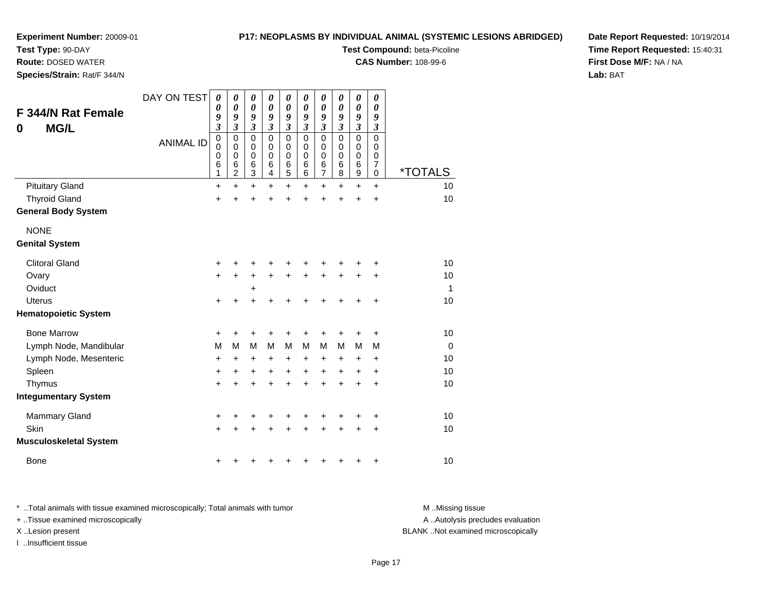**Test Type:** 90-DAY

**Route:** DOSED WATER

**Species/Strain:** Rat/F 344/N

# **P17: NEOPLASMS BY INDIVIDUAL ANIMAL (SYSTEMIC LESIONS ABRIDGED)**

**Test Compound:** beta-Picoline

**CAS Number:** 108-99-6

**Date Report Requested:** 10/19/2014**Time Report Requested:** 15:40:31**First Dose M/F:** NA / NA**Lab:** BAT

| <b>F 344/N Rat Female</b><br><b>MG/L</b><br>0 | DAY ON TEST      | 0<br>0<br>9<br>$\overline{\mathbf{3}}$    | 0<br>$\boldsymbol{\theta}$<br>9<br>$\overline{\mathbf{3}}$       | 0<br>$\boldsymbol{\theta}$<br>9<br>$\mathfrak{z}$              | 0<br>$\boldsymbol{\theta}$<br>9<br>$\mathfrak{z}$   | 0<br>$\boldsymbol{\theta}$<br>9<br>$\mathfrak{z}$   | 0<br>$\boldsymbol{\theta}$<br>9<br>$\overline{\mathbf{3}}$ | 0<br>$\boldsymbol{\theta}$<br>9<br>$\mathfrak{z}$ | 0<br>0<br>9<br>$\mathfrak{z}$             | $\boldsymbol{\theta}$<br>$\boldsymbol{\theta}$<br>9<br>$\mathfrak{z}$ | $\boldsymbol{\theta}$<br>0<br>9<br>$\mathfrak{z}$ |                       |
|-----------------------------------------------|------------------|-------------------------------------------|------------------------------------------------------------------|----------------------------------------------------------------|-----------------------------------------------------|-----------------------------------------------------|------------------------------------------------------------|---------------------------------------------------|-------------------------------------------|-----------------------------------------------------------------------|---------------------------------------------------|-----------------------|
|                                               | <b>ANIMAL ID</b> | $\mathbf 0$<br>$\mathbf 0$<br>0<br>6<br>1 | $\mathbf 0$<br>$\mathbf 0$<br>$\mathbf 0$<br>6<br>$\overline{2}$ | $\mathbf 0$<br>$\mathbf 0$<br>$\mathbf 0$<br>6<br>$\mathbf{3}$ | $\mathbf 0$<br>$\mathbf 0$<br>$\mathbf 0$<br>6<br>4 | $\mathbf 0$<br>$\mathbf 0$<br>$\mathbf 0$<br>6<br>5 | $\mathbf 0$<br>0<br>0<br>6<br>6                            | $\mathbf 0$<br>0<br>0<br>6<br>$\overline{7}$      | $\mathbf 0$<br>$\mathbf 0$<br>0<br>6<br>8 | $\mathbf 0$<br>$\mathbf 0$<br>$\mathbf 0$<br>6<br>$\mathsf g$         | $\Omega$<br>$\mathbf 0$<br>0<br>7<br>$\mathbf 0$  | <i><b>*TOTALS</b></i> |
| <b>Pituitary Gland</b>                        |                  | $\ddot{}$                                 | $\ddot{}$                                                        | $\pm$                                                          | $\pm$                                               | +                                                   | $\pm$                                                      | +                                                 | +                                         | $\ddot{}$                                                             | $\ddot{}$                                         | 10                    |
| <b>Thyroid Gland</b>                          |                  | $\ddot{}$                                 | +                                                                | +                                                              | +                                                   | +                                                   | +                                                          | +                                                 | +                                         | $\ddot{}$                                                             | $\ddot{}$                                         | 10                    |
| <b>General Body System</b>                    |                  |                                           |                                                                  |                                                                |                                                     |                                                     |                                                            |                                                   |                                           |                                                                       |                                                   |                       |
| <b>NONE</b>                                   |                  |                                           |                                                                  |                                                                |                                                     |                                                     |                                                            |                                                   |                                           |                                                                       |                                                   |                       |
| <b>Genital System</b>                         |                  |                                           |                                                                  |                                                                |                                                     |                                                     |                                                            |                                                   |                                           |                                                                       |                                                   |                       |
| <b>Clitoral Gland</b>                         |                  | +                                         |                                                                  |                                                                |                                                     | +                                                   |                                                            | +                                                 |                                           |                                                                       |                                                   | 10                    |
| Ovary                                         |                  | +                                         | +                                                                | $\ddot{}$                                                      | +                                                   | +                                                   | +                                                          | $\ddot{}$                                         | $\ddot{}$                                 | $\ddot{}$                                                             | +                                                 | 10                    |
| Oviduct                                       |                  |                                           |                                                                  | $\ddot{}$                                                      |                                                     |                                                     |                                                            |                                                   |                                           |                                                                       |                                                   | $\mathbf 1$           |
| <b>Uterus</b>                                 |                  | +                                         | +                                                                | $\ddot{}$                                                      | +                                                   | +                                                   | +                                                          | +                                                 | +                                         | +                                                                     | $\ddot{}$                                         | 10                    |
| <b>Hematopoietic System</b>                   |                  |                                           |                                                                  |                                                                |                                                     |                                                     |                                                            |                                                   |                                           |                                                                       |                                                   |                       |
| <b>Bone Marrow</b>                            |                  | +                                         | +                                                                |                                                                |                                                     | +                                                   |                                                            | +                                                 |                                           | +                                                                     | +                                                 | 10                    |
| Lymph Node, Mandibular                        |                  | M                                         | M                                                                | M                                                              | M                                                   | M                                                   | M                                                          | M                                                 | M                                         | M                                                                     | M                                                 | $\overline{0}$        |
| Lymph Node, Mesenteric                        |                  | +                                         | $\ddot{}$                                                        | $\ddot{}$                                                      | $\ddot{}$                                           | $\ddot{}$                                           | +                                                          | $\ddot{}$                                         | +                                         | $\ddot{}$                                                             | $\ddot{}$                                         | 10                    |
| Spleen                                        |                  | +                                         | +                                                                | +                                                              | +                                                   | $\ddot{}$                                           | +                                                          | $\ddot{}$                                         | +                                         | +                                                                     | +                                                 | 10                    |
| Thymus                                        |                  | $\ddot{}$                                 | $\ddot{}$                                                        | $\ddot{}$                                                      | $\ddot{}$                                           | $\ddot{}$                                           | $\ddot{}$                                                  | $\ddot{}$                                         | $\ddot{}$                                 | $\ddot{}$                                                             | $\ddot{}$                                         | 10                    |
| <b>Integumentary System</b>                   |                  |                                           |                                                                  |                                                                |                                                     |                                                     |                                                            |                                                   |                                           |                                                                       |                                                   |                       |
| <b>Mammary Gland</b>                          |                  | +                                         | +                                                                | ٠                                                              | ٠                                                   | +                                                   | +                                                          | +                                                 | +                                         | +                                                                     | +                                                 | 10                    |
| Skin                                          |                  | $\ddot{}$                                 |                                                                  | +                                                              | +                                                   | +                                                   | +                                                          | +                                                 | +                                         | $\ddot{}$                                                             | $\ddot{}$                                         | 10                    |
| <b>Musculoskeletal System</b>                 |                  |                                           |                                                                  |                                                                |                                                     |                                                     |                                                            |                                                   |                                           |                                                                       |                                                   |                       |
| <b>Bone</b>                                   |                  | +                                         |                                                                  |                                                                |                                                     |                                                     |                                                            |                                                   |                                           | +                                                                     | +                                                 | 10                    |

\* ..Total animals with tissue examined microscopically; Total animals with tumor **M** . Missing tissue M ..Missing tissue + ..Tissue examined microscopically X ..Lesion present BLANK ..Not examined microscopically

I ..Insufficient tissue

A ..Autolysis precludes evaluation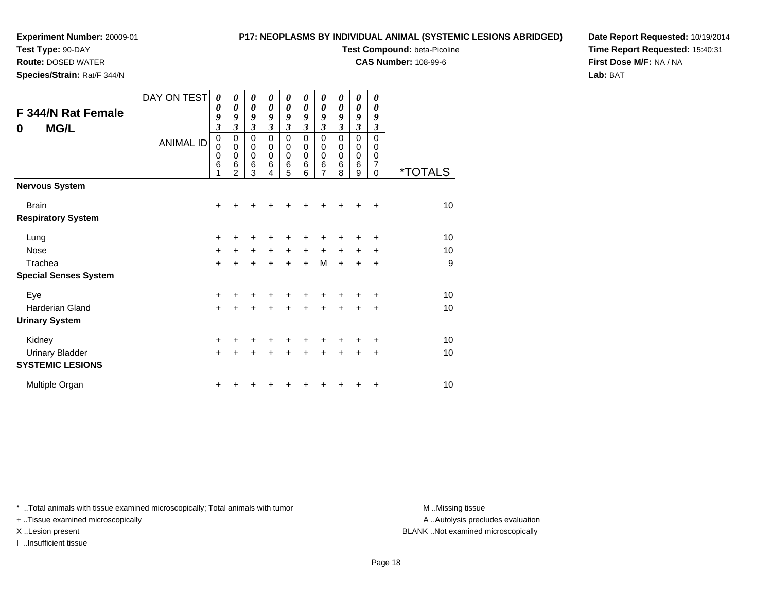**Test Type:** 90-DAY **Route:** DOSED WATER**Species/Strain:** Rat/F 344/N

# **P17: NEOPLASMS BY INDIVIDUAL ANIMAL (SYSTEMIC LESIONS ABRIDGED)**

**Test Compound:** beta-Picoline

**CAS Number:** 108-99-6

**Date Report Requested:** 10/19/2014**Time Report Requested:** 15:40:31**First Dose M/F:** NA / NA**Lab:** BAT

| F 344/N Rat Female<br><b>MG/L</b><br>0 | DAY ON TEST<br><b>ANIMAL ID</b> | $\boldsymbol{\theta}$<br>0<br>9<br>$\overline{\mathbf{3}}$<br>0<br>0<br>$\mathbf 0$<br>$\,6$<br>1 | 0<br>0<br>9<br>$\boldsymbol{\beta}$<br>0<br>$\mathbf 0$<br>$\mathbf 0$<br>$\,6$<br>$\overline{2}$ | 0<br>$\boldsymbol{\theta}$<br>9<br>$\boldsymbol{\beta}$<br>0<br>$\mathbf 0$<br>$\mathbf 0$<br>$\,6$<br>3 | 0<br>0<br>9<br>$\boldsymbol{\beta}$<br>0<br>0<br>$\mathbf 0$<br>6<br>4 | 0<br>0<br>9<br>$\boldsymbol{\beta}$<br>0<br>0<br>$\mathbf 0$<br>6<br>5 | 0<br>0<br>9<br>$\boldsymbol{\beta}$<br>0<br>0<br>0<br>$\,6$<br>6 | 0<br>0<br>9<br>$\mathfrak{z}$<br>0<br>0<br>$\mathbf 0$<br>$\,6$<br>$\overline{7}$ | 0<br>0<br>9<br>$\boldsymbol{\beta}$<br>0<br>0<br>0<br>$\,6$<br>8 | 0<br>0<br>9<br>$\mathfrak{z}$<br>0<br>0<br>$\mathbf 0$<br>$\,6$<br>9 | 0<br>0<br>9<br>$\boldsymbol{\beta}$<br>$\Omega$<br>0<br>0<br>7<br>$\Omega$ | <i><b>*TOTALS</b></i> |
|----------------------------------------|---------------------------------|---------------------------------------------------------------------------------------------------|---------------------------------------------------------------------------------------------------|----------------------------------------------------------------------------------------------------------|------------------------------------------------------------------------|------------------------------------------------------------------------|------------------------------------------------------------------|-----------------------------------------------------------------------------------|------------------------------------------------------------------|----------------------------------------------------------------------|----------------------------------------------------------------------------|-----------------------|
| <b>Nervous System</b>                  |                                 |                                                                                                   |                                                                                                   |                                                                                                          |                                                                        |                                                                        |                                                                  |                                                                                   |                                                                  |                                                                      |                                                                            |                       |
| <b>Brain</b>                           |                                 | $\pm$                                                                                             |                                                                                                   |                                                                                                          |                                                                        |                                                                        |                                                                  |                                                                                   |                                                                  |                                                                      | +                                                                          | $10$                  |
| <b>Respiratory System</b>              |                                 |                                                                                                   |                                                                                                   |                                                                                                          |                                                                        |                                                                        |                                                                  |                                                                                   |                                                                  |                                                                      |                                                                            |                       |
| Lung                                   |                                 | +                                                                                                 |                                                                                                   |                                                                                                          |                                                                        |                                                                        |                                                                  |                                                                                   |                                                                  |                                                                      | ÷                                                                          | 10                    |
| Nose                                   |                                 | $\ddot{}$                                                                                         | $\ddot{}$                                                                                         | $\ddot{}$                                                                                                | $\ddot{}$                                                              | $\ddot{}$                                                              | $\ddot{}$                                                        | $\ddot{}$                                                                         | $\ddot{}$                                                        | $\ddot{}$                                                            | $\ddot{}$                                                                  | 10                    |
| Trachea                                |                                 | $\ddot{}$                                                                                         |                                                                                                   | $\ddot{}$                                                                                                |                                                                        | $\ddot{}$                                                              | $\ddot{}$                                                        | M                                                                                 | $\ddot{}$                                                        | $\ddot{}$                                                            | $\ddot{}$                                                                  | 9                     |
| <b>Special Senses System</b>           |                                 |                                                                                                   |                                                                                                   |                                                                                                          |                                                                        |                                                                        |                                                                  |                                                                                   |                                                                  |                                                                      |                                                                            |                       |
| Eye                                    |                                 | +                                                                                                 |                                                                                                   |                                                                                                          |                                                                        |                                                                        |                                                                  |                                                                                   |                                                                  |                                                                      | ÷                                                                          | 10                    |
| <b>Harderian Gland</b>                 |                                 | $+$                                                                                               | +                                                                                                 | $\pm$                                                                                                    | +                                                                      | $\ddot{}$                                                              | +                                                                | $\ddot{}$                                                                         | $\ddot{}$                                                        | $\ddot{}$                                                            | $\ddot{}$                                                                  | 10                    |
| <b>Urinary System</b>                  |                                 |                                                                                                   |                                                                                                   |                                                                                                          |                                                                        |                                                                        |                                                                  |                                                                                   |                                                                  |                                                                      |                                                                            |                       |
| Kidney                                 |                                 | $\ddot{}$                                                                                         |                                                                                                   | ٠                                                                                                        |                                                                        | ٠                                                                      |                                                                  | ٠                                                                                 | ٠                                                                | ٠                                                                    | +                                                                          | 10                    |
| <b>Urinary Bladder</b>                 |                                 | $\ddot{}$                                                                                         |                                                                                                   |                                                                                                          |                                                                        | ٠                                                                      | ٠                                                                | +                                                                                 | +                                                                | +                                                                    | $\ddot{}$                                                                  | 10                    |

\* ..Total animals with tissue examined microscopically; Total animals with tumor **M** ...Missing tissue M ...Missing tissue

n  $+$ 

+ ..Tissue examined microscopically

I ..Insufficient tissue

**SYSTEMIC LESIONS**

Multiple Organ

A ..Autolysis precludes evaluation X ..Lesion present BLANK ..Not examined microscopically

<sup>+</sup> <sup>+</sup> <sup>+</sup> <sup>+</sup> <sup>+</sup> <sup>+</sup> <sup>+</sup> <sup>+</sup> <sup>+</sup> <sup>10</sup>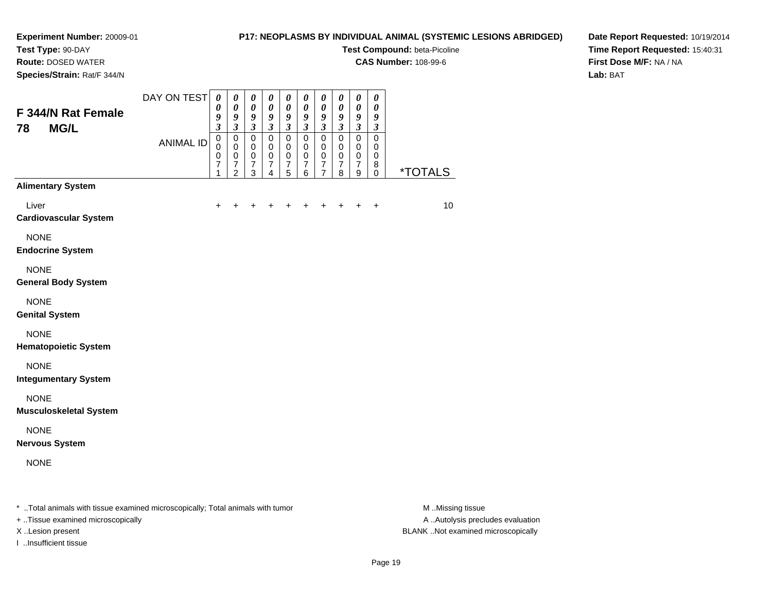# **Test Type:** 90-DAY

**Route:** DOSED WATER

**Species/Strain:** Rat/F 344/N

# **P17: NEOPLASMS BY INDIVIDUAL ANIMAL (SYSTEMIC LESIONS ABRIDGED)**

**Test Compound:** beta-Picoline

**CAS Number:** 108-99-6

**Date Report Requested:** 10/19/2014**Time Report Requested:** 15:40:31**First Dose M/F:** NA / NA**Lab:** BAT

| F 344/N Rat Female                                                             | DAY ON TEST      | $\boldsymbol{\theta}$<br>$\boldsymbol{\theta}$<br>9                            | $\pmb{\theta}$<br>$\boldsymbol{\theta}$<br>9                                                  | $\pmb{\theta}$<br>$\pmb{\theta}$<br>9                                      | $\pmb{\theta}$<br>$\pmb{\theta}$<br>9                                                  | $\boldsymbol{\theta}$<br>$\boldsymbol{\theta}$<br>9                      | $\pmb{\theta}$<br>$\boldsymbol{\theta}$<br>9                                        | $\pmb{\theta}$<br>$\boldsymbol{\theta}$<br>9                                                  | $\pmb{\theta}$<br>0<br>9                                                 | $\boldsymbol{\theta}$<br>$\boldsymbol{\theta}$<br>9                                                     | $\pmb{\theta}$<br>$\boldsymbol{\theta}$<br>$\boldsymbol{g}$               |                       |
|--------------------------------------------------------------------------------|------------------|--------------------------------------------------------------------------------|-----------------------------------------------------------------------------------------------|----------------------------------------------------------------------------|----------------------------------------------------------------------------------------|--------------------------------------------------------------------------|-------------------------------------------------------------------------------------|-----------------------------------------------------------------------------------------------|--------------------------------------------------------------------------|---------------------------------------------------------------------------------------------------------|---------------------------------------------------------------------------|-----------------------|
| <b>MG/L</b><br>78                                                              | <b>ANIMAL ID</b> | $\boldsymbol{\beta}$<br>$\mathbf 0$<br>0<br>$\mathbf 0$<br>$\overline{7}$<br>1 | $\mathfrak{z}$<br>$\mathbf 0$<br>$\mathbf 0$<br>$\pmb{0}$<br>$\overline{7}$<br>$\overline{2}$ | $\boldsymbol{\beta}$<br>$\pmb{0}$<br>0<br>$\,0\,$<br>$\boldsymbol{7}$<br>3 | $\boldsymbol{\beta}$<br>$\pmb{0}$<br>$\mathbf 0$<br>$\pmb{0}$<br>$\boldsymbol{7}$<br>4 | $\boldsymbol{\beta}$<br>$\pmb{0}$<br>0<br>$\,0\,$<br>$\overline{7}$<br>5 | $\mathfrak{z}$<br>$\pmb{0}$<br>0<br>$\pmb{0}$<br>$\boldsymbol{7}$<br>$6\phantom{a}$ | $\mathfrak{z}$<br>$\pmb{0}$<br>$\mathbf 0$<br>$\mathbf 0$<br>$\overline{7}$<br>$\overline{7}$ | $\boldsymbol{\beta}$<br>$\pmb{0}$<br>0<br>$\,0\,$<br>$\overline{7}$<br>8 | $\boldsymbol{\beta}$<br>$\mathsf 0$<br>$\mathbf 0$<br>$\mathbf 0$<br>$\overline{7}$<br>$\boldsymbol{9}$ | $\boldsymbol{\beta}$<br>$\pmb{0}$<br>0<br>$\mathbf 0$<br>8<br>$\mathbf 0$ | <i><b>*TOTALS</b></i> |
| <b>Alimentary System</b>                                                       |                  |                                                                                |                                                                                               |                                                                            |                                                                                        |                                                                          |                                                                                     |                                                                                               |                                                                          |                                                                                                         |                                                                           |                       |
| Liver<br><b>Cardiovascular System</b>                                          |                  | +                                                                              |                                                                                               |                                                                            |                                                                                        |                                                                          |                                                                                     |                                                                                               |                                                                          | $\ddot{}$                                                                                               | $\ddot{}$                                                                 | 10                    |
| <b>NONE</b><br><b>Endocrine System</b>                                         |                  |                                                                                |                                                                                               |                                                                            |                                                                                        |                                                                          |                                                                                     |                                                                                               |                                                                          |                                                                                                         |                                                                           |                       |
| <b>NONE</b><br><b>General Body System</b>                                      |                  |                                                                                |                                                                                               |                                                                            |                                                                                        |                                                                          |                                                                                     |                                                                                               |                                                                          |                                                                                                         |                                                                           |                       |
| <b>NONE</b><br><b>Genital System</b>                                           |                  |                                                                                |                                                                                               |                                                                            |                                                                                        |                                                                          |                                                                                     |                                                                                               |                                                                          |                                                                                                         |                                                                           |                       |
| <b>NONE</b><br><b>Hematopoietic System</b>                                     |                  |                                                                                |                                                                                               |                                                                            |                                                                                        |                                                                          |                                                                                     |                                                                                               |                                                                          |                                                                                                         |                                                                           |                       |
| <b>NONE</b><br><b>Integumentary System</b>                                     |                  |                                                                                |                                                                                               |                                                                            |                                                                                        |                                                                          |                                                                                     |                                                                                               |                                                                          |                                                                                                         |                                                                           |                       |
| <b>NONE</b><br><b>Musculoskeletal System</b>                                   |                  |                                                                                |                                                                                               |                                                                            |                                                                                        |                                                                          |                                                                                     |                                                                                               |                                                                          |                                                                                                         |                                                                           |                       |
| <b>NONE</b><br><b>Nervous System</b>                                           |                  |                                                                                |                                                                                               |                                                                            |                                                                                        |                                                                          |                                                                                     |                                                                                               |                                                                          |                                                                                                         |                                                                           |                       |
| <b>NONE</b>                                                                    |                  |                                                                                |                                                                                               |                                                                            |                                                                                        |                                                                          |                                                                                     |                                                                                               |                                                                          |                                                                                                         |                                                                           |                       |
| * Total animals with tissue examined microscopically; Total animals with tumor |                  |                                                                                |                                                                                               |                                                                            |                                                                                        |                                                                          |                                                                                     |                                                                                               |                                                                          |                                                                                                         |                                                                           | M Missing tissue      |

+ ..Tissue examined microscopically

- 
- 
- I ..Insufficient tissue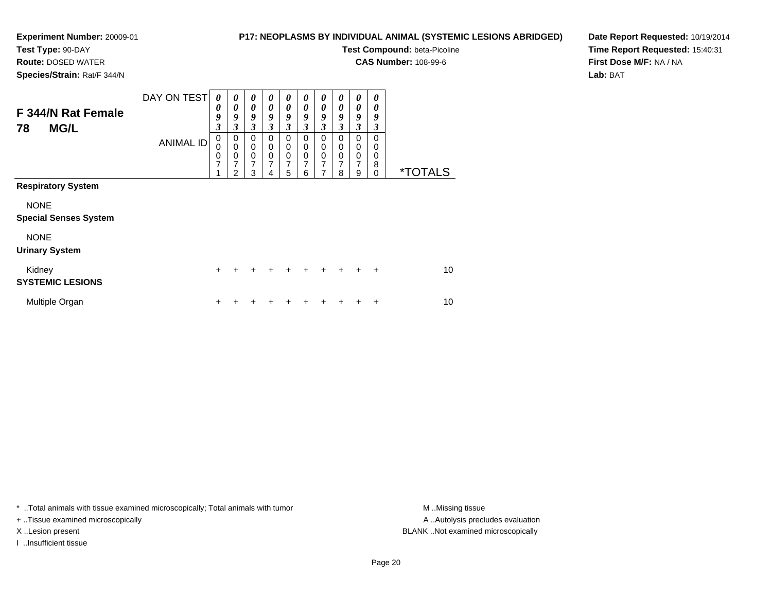**Route:** DOSED WATER**Species/Strain:** Rat/F 344/N

# **P17: NEOPLASMS BY INDIVIDUAL ANIMAL (SYSTEMIC LESIONS ABRIDGED)**

**Test Compound:** beta-Picoline

**CAS Number:** 108-99-6

**Date Report Requested:** 10/19/2014**Time Report Requested:** 15:40:31**First Dose M/F:** NA / NA**Lab:** BAT

| F 344/N Rat Female<br>78<br><b>MG/L</b>     | DAY ON TEST<br><b>ANIMAL ID</b> | 0<br>$\boldsymbol{\theta}$<br>9<br>$\mathfrak{z}$<br>0<br>0<br>0<br>7 | $\boldsymbol{\theta}$<br>$\boldsymbol{\theta}$<br>9<br>3<br>0<br>$\mathbf 0$<br>0<br>7 | 0<br>$\boldsymbol{\theta}$<br>9<br>3<br>0<br>$\pmb{0}$<br>$\mathbf 0$<br>7 | 0<br>$\boldsymbol{\theta}$<br>9<br>3<br>0<br>$\mathbf 0$<br>$\mathbf 0$<br>7 | 0<br>0<br>9<br>3<br>0<br>0<br>$\boldsymbol{0}$<br>7 | 0<br>0<br>9<br>3<br>0<br>0<br>$\mathbf 0$<br>7 | 0<br>0<br>9<br>3<br>0<br>0<br>0<br>7 | 0<br>$\boldsymbol{\theta}$<br>9<br>3<br>0<br>0<br>0<br>$\overline{7}$ | 0<br>$\boldsymbol{\theta}$<br>9<br>3<br>0<br>0<br>$\mathbf 0$<br>7 | 0<br>0<br>9<br>3<br>0<br>0<br>0 |                       |
|---------------------------------------------|---------------------------------|-----------------------------------------------------------------------|----------------------------------------------------------------------------------------|----------------------------------------------------------------------------|------------------------------------------------------------------------------|-----------------------------------------------------|------------------------------------------------|--------------------------------------|-----------------------------------------------------------------------|--------------------------------------------------------------------|---------------------------------|-----------------------|
| <b>Respiratory System</b>                   |                                 |                                                                       | 2                                                                                      | 3                                                                          | 4                                                                            | 5                                                   | 6                                              | 7                                    | 8                                                                     | 9                                                                  | 8<br>$\mathbf 0$                | <i><b>*TOTALS</b></i> |
| <b>NONE</b><br><b>Special Senses System</b> |                                 |                                                                       |                                                                                        |                                                                            |                                                                              |                                                     |                                                |                                      |                                                                       |                                                                    |                                 |                       |
| <b>NONE</b><br><b>Urinary System</b>        |                                 |                                                                       |                                                                                        |                                                                            |                                                                              |                                                     |                                                |                                      |                                                                       |                                                                    |                                 |                       |
| Kidney<br><b>SYSTEMIC LESIONS</b>           |                                 | $\div$                                                                |                                                                                        |                                                                            |                                                                              |                                                     | $\div$                                         | $\pm$                                | $\ddot{}$                                                             | $\div$                                                             | $\ddot{}$                       | 10                    |
| Multiple Organ                              |                                 | +                                                                     |                                                                                        |                                                                            |                                                                              |                                                     |                                                |                                      | ٠                                                                     |                                                                    | ÷                               | 10                    |

\* ..Total animals with tissue examined microscopically; Total animals with tumor **M** . Missing tissue M ..Missing tissue

+ ..Tissue examined microscopically

I ..Insufficient tissue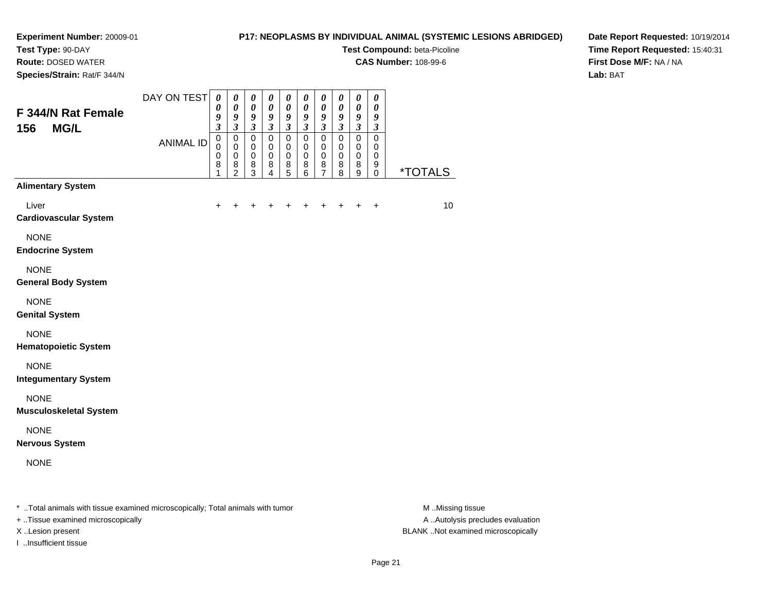**Test Type:** 90-DAY

**Route:** DOSED WATER

**Species/Strain:** Rat/F 344/N

# **P17: NEOPLASMS BY INDIVIDUAL ANIMAL (SYSTEMIC LESIONS ABRIDGED)**

**Test Compound:** beta-Picoline

**CAS Number:** 108-99-6

**Date Report Requested:** 10/19/2014**Time Report Requested:** 15:40:31**First Dose M/F:** NA / NA**Lab:** BAT

| F 344/N Rat Female<br><b>MG/L</b><br>156                                       | DAY ON TEST      | $\boldsymbol{\theta}$<br>0<br>9<br>3              | $\boldsymbol{\theta}$<br>$\boldsymbol{\theta}$<br>$\boldsymbol{g}$<br>$\mathfrak{z}$ | $\pmb{\theta}$<br>$\boldsymbol{\theta}$<br>$\boldsymbol{g}$<br>$\boldsymbol{\beta}$ | $\pmb{\theta}$<br>$\boldsymbol{\theta}$<br>$\boldsymbol{g}$<br>$\mathfrak{z}$ | $\pmb{\theta}$<br>$\boldsymbol{\theta}$<br>$\boldsymbol{g}$<br>$\boldsymbol{\beta}$ | $\pmb{\theta}$<br>$\boldsymbol{\theta}$<br>$\boldsymbol{g}$<br>$\boldsymbol{\beta}$ | $\pmb{\theta}$<br>0<br>9<br>$\mathfrak{z}$      | 0<br>0<br>9<br>$\boldsymbol{\mathfrak{z}}$ | $\boldsymbol{\theta}$<br>$\boldsymbol{\theta}$<br>$\boldsymbol{g}$<br>$\boldsymbol{\beta}$ | $\boldsymbol{\theta}$<br>0<br>$\boldsymbol{g}$<br>$\boldsymbol{\beta}$ |                       |
|--------------------------------------------------------------------------------|------------------|---------------------------------------------------|--------------------------------------------------------------------------------------|-------------------------------------------------------------------------------------|-------------------------------------------------------------------------------|-------------------------------------------------------------------------------------|-------------------------------------------------------------------------------------|-------------------------------------------------|--------------------------------------------|--------------------------------------------------------------------------------------------|------------------------------------------------------------------------|-----------------------|
|                                                                                | <b>ANIMAL ID</b> | $\pmb{0}$<br>$\mathbf 0$<br>$\mathbf 0$<br>8<br>1 | $\pmb{0}$<br>$\mathbf 0$<br>$\mathbf 0$<br>8<br>$\overline{2}$                       | $\mathsf 0$<br>0<br>$\pmb{0}$<br>8<br>$\mathfrak{S}$                                | $\mathsf 0$<br>$\mathbf 0$<br>$\mathbf 0$<br>8<br>$\overline{4}$              | $\mathsf 0$<br>0<br>$\pmb{0}$<br>8<br>5                                             | $\pmb{0}$<br>0<br>$\mathbf 0$<br>8<br>6                                             | $\pmb{0}$<br>$\mathbf 0$<br>$\pmb{0}$<br>8<br>7 | $\mathsf 0$<br>0<br>0<br>8<br>8            | $\pmb{0}$<br>$\mathbf 0$<br>$\pmb{0}$<br>8<br>9                                            | $\mathsf 0$<br>0<br>$\pmb{0}$<br>9<br>$\mathbf 0$                      | <i><b>*TOTALS</b></i> |
| <b>Alimentary System</b>                                                       |                  |                                                   |                                                                                      |                                                                                     |                                                                               |                                                                                     |                                                                                     |                                                 |                                            |                                                                                            |                                                                        |                       |
| Liver<br><b>Cardiovascular System</b>                                          |                  | +                                                 |                                                                                      | ٠                                                                                   |                                                                               | +                                                                                   | +                                                                                   | +                                               |                                            | ÷                                                                                          | $\ddot{}$                                                              | 10                    |
| <b>NONE</b><br><b>Endocrine System</b>                                         |                  |                                                   |                                                                                      |                                                                                     |                                                                               |                                                                                     |                                                                                     |                                                 |                                            |                                                                                            |                                                                        |                       |
| <b>NONE</b><br><b>General Body System</b>                                      |                  |                                                   |                                                                                      |                                                                                     |                                                                               |                                                                                     |                                                                                     |                                                 |                                            |                                                                                            |                                                                        |                       |
| <b>NONE</b><br><b>Genital System</b>                                           |                  |                                                   |                                                                                      |                                                                                     |                                                                               |                                                                                     |                                                                                     |                                                 |                                            |                                                                                            |                                                                        |                       |
| <b>NONE</b><br><b>Hematopoietic System</b>                                     |                  |                                                   |                                                                                      |                                                                                     |                                                                               |                                                                                     |                                                                                     |                                                 |                                            |                                                                                            |                                                                        |                       |
| <b>NONE</b><br><b>Integumentary System</b>                                     |                  |                                                   |                                                                                      |                                                                                     |                                                                               |                                                                                     |                                                                                     |                                                 |                                            |                                                                                            |                                                                        |                       |
| <b>NONE</b><br><b>Musculoskeletal System</b>                                   |                  |                                                   |                                                                                      |                                                                                     |                                                                               |                                                                                     |                                                                                     |                                                 |                                            |                                                                                            |                                                                        |                       |
| <b>NONE</b><br><b>Nervous System</b>                                           |                  |                                                   |                                                                                      |                                                                                     |                                                                               |                                                                                     |                                                                                     |                                                 |                                            |                                                                                            |                                                                        |                       |
| <b>NONE</b>                                                                    |                  |                                                   |                                                                                      |                                                                                     |                                                                               |                                                                                     |                                                                                     |                                                 |                                            |                                                                                            |                                                                        |                       |
| * Total animals with tissue examined microscopically; Total animals with tumor |                  |                                                   |                                                                                      |                                                                                     |                                                                               |                                                                                     |                                                                                     |                                                 |                                            |                                                                                            |                                                                        | M Missing tissue      |

+ ..Tissue examined microscopically

I ..Insufficient tissue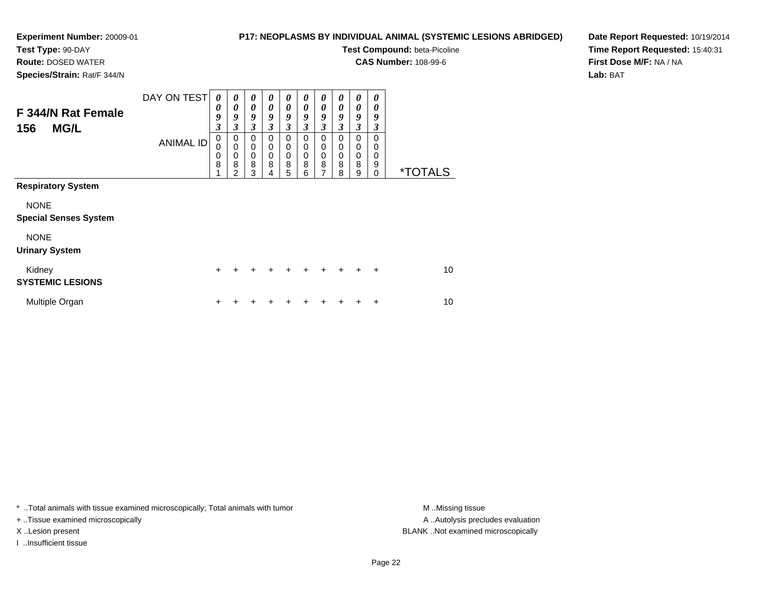# **P17: NEOPLASMS BY INDIVIDUAL ANIMAL (SYSTEMIC LESIONS ABRIDGED)**

**Test Compound:** beta-Picoline

**CAS Number:** 108-99-6

**Species/Strain:** Rat/F 344/N

**Route:** DOSED WATER

**Date Report Requested:** 10/19/2014**Time Report Requested:** 15:40:31**First Dose M/F:** NA / NA**Lab:** BAT

| F 344/N Rat Female<br><b>MG/L</b><br>156    | DAY ON TEST<br><b>ANIMAL ID</b> | 0<br>0<br>9<br>3<br>0<br>0<br>0<br>8 | 0<br>0<br>9<br>3<br>0<br>$\mathbf 0$<br>0<br>8<br>$\mathfrak{p}$ | 0<br>$\boldsymbol{\theta}$<br>9<br>3<br>$\mathbf 0$<br>$\mathbf 0$<br>$\mathbf 0$<br>8<br>3 | 0<br>$\boldsymbol{\theta}$<br>9<br>3<br>$\Omega$<br>0<br>0<br>8<br>4 | 0<br>$\boldsymbol{\theta}$<br>9<br>3<br>$\mathbf 0$<br>$\mathbf 0$<br>$\mathbf 0$<br>8<br>5 | 0<br>0<br>9<br>3<br>$\Omega$<br>0<br>0<br>8<br>6 | 0<br>0<br>9<br>3<br>$\mathbf 0$<br>0<br>0<br>8<br>7 | 0<br>0<br>9<br>3<br>0<br>0<br>0<br>8<br>8 | 0<br>0<br>9<br>3<br>0<br>0<br>0<br>8<br>9 | 0<br>0<br>9<br>3<br>0<br>0<br>0<br>9<br>0 | <i><b>*TOTALS</b></i> |
|---------------------------------------------|---------------------------------|--------------------------------------|------------------------------------------------------------------|---------------------------------------------------------------------------------------------|----------------------------------------------------------------------|---------------------------------------------------------------------------------------------|--------------------------------------------------|-----------------------------------------------------|-------------------------------------------|-------------------------------------------|-------------------------------------------|-----------------------|
| <b>Respiratory System</b>                   |                                 |                                      |                                                                  |                                                                                             |                                                                      |                                                                                             |                                                  |                                                     |                                           |                                           |                                           |                       |
| <b>NONE</b><br><b>Special Senses System</b> |                                 |                                      |                                                                  |                                                                                             |                                                                      |                                                                                             |                                                  |                                                     |                                           |                                           |                                           |                       |
| <b>NONE</b><br><b>Urinary System</b>        |                                 |                                      |                                                                  |                                                                                             |                                                                      |                                                                                             |                                                  |                                                     |                                           |                                           |                                           |                       |
| Kidney<br><b>SYSTEMIC LESIONS</b>           |                                 | $\ddot{}$                            | +                                                                | $\div$                                                                                      | +                                                                    | ÷                                                                                           | $\div$                                           | $\div$                                              | ÷                                         | +                                         | $\div$                                    | 10                    |
| Multiple Organ                              |                                 | ÷                                    |                                                                  |                                                                                             |                                                                      |                                                                                             |                                                  |                                                     |                                           |                                           | +                                         | 10                    |

\* ..Total animals with tissue examined microscopically; Total animals with tumor **M** . Missing tissue M ..Missing tissue

+ ..Tissue examined microscopically

I ..Insufficient tissue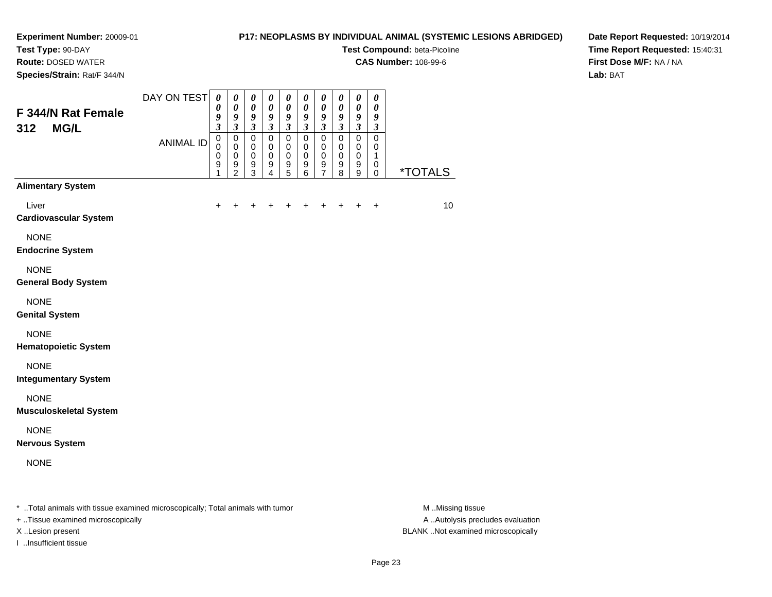**Route:** DOSED WATER**Species/Strain:** Rat/F 344/N

# **P17: NEOPLASMS BY INDIVIDUAL ANIMAL (SYSTEMIC LESIONS ABRIDGED)**

**Test Compound:** beta-Picoline

**CAS Number:** 108-99-6

**Date Report Requested:** 10/19/2014**Time Report Requested:** 15:40:31**First Dose M/F:** NA / NA**Lab:** BAT

| F 344/N Rat Female<br><b>MG/L</b><br>312                                       | DAY ON TEST      | $\boldsymbol{\theta}$<br>0<br>9                             | 0<br>$\boldsymbol{\theta}$<br>$\boldsymbol{g}$                               | 0<br>$\boldsymbol{\theta}$<br>$\boldsymbol{g}$                        | 0<br>$\boldsymbol{\theta}$<br>9                                | 0<br>$\boldsymbol{\theta}$<br>9                                         | 0<br>$\boldsymbol{\theta}$<br>$\boldsymbol{g}$            | 0<br>$\boldsymbol{\theta}$<br>9                                          | 0<br>$\boldsymbol{\theta}$<br>9                           | 0<br>$\pmb{\theta}$<br>$\pmb{9}$                                                     | 0<br>$\boldsymbol{\theta}$<br>9                             |                       |
|--------------------------------------------------------------------------------|------------------|-------------------------------------------------------------|------------------------------------------------------------------------------|-----------------------------------------------------------------------|----------------------------------------------------------------|-------------------------------------------------------------------------|-----------------------------------------------------------|--------------------------------------------------------------------------|-----------------------------------------------------------|--------------------------------------------------------------------------------------|-------------------------------------------------------------|-----------------------|
|                                                                                | <b>ANIMAL ID</b> | $\mathfrak{z}$<br>$\mathbf 0$<br>0<br>$\mathbf 0$<br>9<br>1 | $\mathfrak{z}$<br>$\mathbf 0$<br>$\mathbf 0$<br>$\mathbf 0$<br>$\frac{9}{2}$ | $\mathfrak{z}$<br>$\mathbf 0$<br>$\mathbf 0$<br>$\mathbf 0$<br>$^9_3$ | $\mathfrak{z}$<br>$\mathbf 0$<br>0<br>0<br>9<br>$\overline{4}$ | $\mathfrak{z}$<br>$\mathbf 0$<br>0<br>$\boldsymbol{0}$<br>$\frac{9}{5}$ | $\mathfrak{z}$<br>$\mathbf 0$<br>0<br>$\pmb{0}$<br>9<br>6 | $\mathfrak{z}$<br>$\mathbf 0$<br>$\pmb{0}$<br>$\pmb{0}$<br>$\frac{9}{7}$ | $\mathfrak{z}$<br>$\mathbf 0$<br>0<br>$\pmb{0}$<br>9<br>8 | $\mathfrak{z}$<br>$\mathbf 0$<br>$\mathbf 0$<br>$\mathbf 0$<br>9<br>$\boldsymbol{9}$ | $\mathfrak{z}$<br>$\mathbf 0$<br>0<br>1<br>0<br>$\mathbf 0$ | <i><b>*TOTALS</b></i> |
| <b>Alimentary System</b>                                                       |                  |                                                             |                                                                              |                                                                       |                                                                |                                                                         |                                                           |                                                                          |                                                           |                                                                                      |                                                             |                       |
| Liver<br><b>Cardiovascular System</b>                                          |                  | $\ddot{}$                                                   | +                                                                            | $\ddot{}$                                                             | +                                                              | +                                                                       | +                                                         | +                                                                        | +                                                         | +                                                                                    | $\ddot{}$                                                   | 10                    |
| <b>NONE</b><br><b>Endocrine System</b>                                         |                  |                                                             |                                                                              |                                                                       |                                                                |                                                                         |                                                           |                                                                          |                                                           |                                                                                      |                                                             |                       |
| <b>NONE</b><br><b>General Body System</b>                                      |                  |                                                             |                                                                              |                                                                       |                                                                |                                                                         |                                                           |                                                                          |                                                           |                                                                                      |                                                             |                       |
| <b>NONE</b><br><b>Genital System</b>                                           |                  |                                                             |                                                                              |                                                                       |                                                                |                                                                         |                                                           |                                                                          |                                                           |                                                                                      |                                                             |                       |
| <b>NONE</b><br><b>Hematopoietic System</b>                                     |                  |                                                             |                                                                              |                                                                       |                                                                |                                                                         |                                                           |                                                                          |                                                           |                                                                                      |                                                             |                       |
| <b>NONE</b><br><b>Integumentary System</b>                                     |                  |                                                             |                                                                              |                                                                       |                                                                |                                                                         |                                                           |                                                                          |                                                           |                                                                                      |                                                             |                       |
| <b>NONE</b><br><b>Musculoskeletal System</b>                                   |                  |                                                             |                                                                              |                                                                       |                                                                |                                                                         |                                                           |                                                                          |                                                           |                                                                                      |                                                             |                       |
| <b>NONE</b><br><b>Nervous System</b>                                           |                  |                                                             |                                                                              |                                                                       |                                                                |                                                                         |                                                           |                                                                          |                                                           |                                                                                      |                                                             |                       |
| <b>NONE</b>                                                                    |                  |                                                             |                                                                              |                                                                       |                                                                |                                                                         |                                                           |                                                                          |                                                           |                                                                                      |                                                             |                       |
| * Total animals with tissue examined microscopically: Total animals with tumor |                  |                                                             |                                                                              |                                                                       |                                                                |                                                                         |                                                           |                                                                          |                                                           |                                                                                      |                                                             | M <sub>Ndicc</sub> i  |

..Total animals with tissue examined microscopically; Total animals with tumor M ..Missing tissue M ..Missing tissue

+ ..Tissue examined microscopically

I ..Insufficient tissue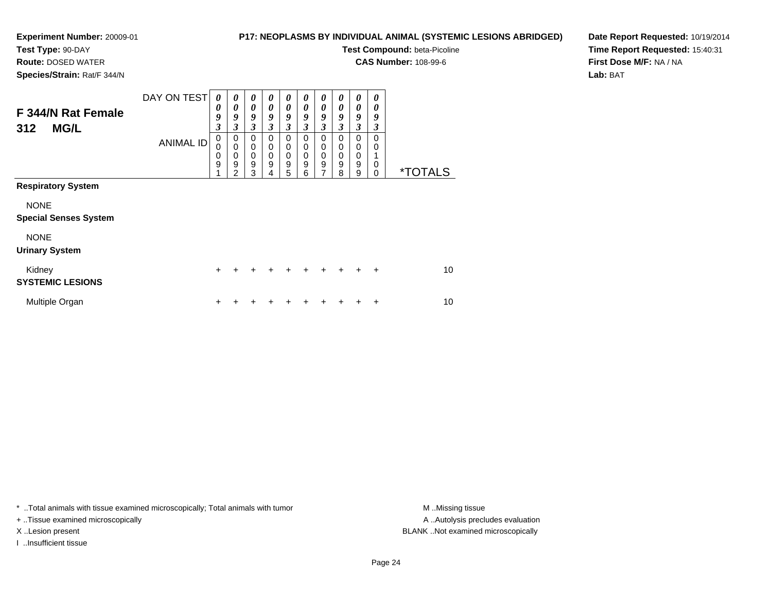# **P17: NEOPLASMS BY INDIVIDUAL ANIMAL (SYSTEMIC LESIONS ABRIDGED)**

**Test Compound:** beta-Picoline

**CAS Number:** 108-99-6

**Date Report Requested:** 10/19/2014**Time Report Requested:** 15:40:31**First Dose M/F:** NA / NA**Lab:** BAT

**Species/Strain:** Rat/F 344/N

**Route:** DOSED WATER

| F 344/N Rat Female<br><b>MG/L</b><br>312    | DAY ON TEST<br><b>ANIMAL ID</b> | 0<br>0<br>9<br>$\boldsymbol{\beta}$<br>0<br>0 | $\boldsymbol{\theta}$<br>$\boldsymbol{\theta}$<br>9<br>3<br>0<br>$\mathbf 0$ | $\boldsymbol{\theta}$<br>$\boldsymbol{\theta}$<br>9<br>$\mathfrak{z}$<br>$\mathbf 0$<br>$\mathbf 0$ | 0<br>0<br>9<br>3<br>$\Omega$<br>0 | $\boldsymbol{\theta}$<br>$\boldsymbol{\theta}$<br>9<br>3<br>0<br>0 | 0<br>$\boldsymbol{\theta}$<br>9<br>$\mathfrak{z}$<br>0<br>0 | 0<br>0<br>9<br>3<br>0<br>0       | 0<br>0<br>9<br>3<br>$\Omega$<br>$\Omega$ | 0<br>$\boldsymbol{\theta}$<br>9<br>3<br>0<br>0 | 0<br>0<br>9<br>3<br>$\Omega$<br>$\mathbf 0$ |                       |
|---------------------------------------------|---------------------------------|-----------------------------------------------|------------------------------------------------------------------------------|-----------------------------------------------------------------------------------------------------|-----------------------------------|--------------------------------------------------------------------|-------------------------------------------------------------|----------------------------------|------------------------------------------|------------------------------------------------|---------------------------------------------|-----------------------|
|                                             |                                 | 0<br>9                                        | $\mathbf 0$<br>9<br>2                                                        | $\mathbf 0$<br>9<br>3                                                                               | 0<br>9<br>4                       | $\mathbf 0$<br>9<br>5                                              | 0<br>9<br>6                                                 | $\pmb{0}$<br>9<br>$\overline{7}$ | 0<br>9<br>8                              | 0<br>9<br>9                                    | $\mathbf 0$<br>0                            | <i><b>*TOTALS</b></i> |
| <b>Respiratory System</b>                   |                                 |                                               |                                                                              |                                                                                                     |                                   |                                                                    |                                                             |                                  |                                          |                                                |                                             |                       |
| <b>NONE</b><br><b>Special Senses System</b> |                                 |                                               |                                                                              |                                                                                                     |                                   |                                                                    |                                                             |                                  |                                          |                                                |                                             |                       |
| <b>NONE</b><br><b>Urinary System</b>        |                                 |                                               |                                                                              |                                                                                                     |                                   |                                                                    |                                                             |                                  |                                          |                                                |                                             |                       |
| Kidney<br><b>SYSTEMIC LESIONS</b>           |                                 | $\ddot{}$                                     | $\div$                                                                       |                                                                                                     |                                   | $\div$                                                             | $\div$                                                      | $\ddot{}$                        | $+$                                      | $+$                                            | $\ddot{}$                                   | 10                    |
| Multiple Organ                              |                                 | +                                             |                                                                              |                                                                                                     |                                   |                                                                    |                                                             |                                  |                                          |                                                | ÷                                           | 10                    |

\* ..Total animals with tissue examined microscopically; Total animals with tumor **M** . Missing tissue M ..Missing tissue

+ ..Tissue examined microscopically

I ..Insufficient tissue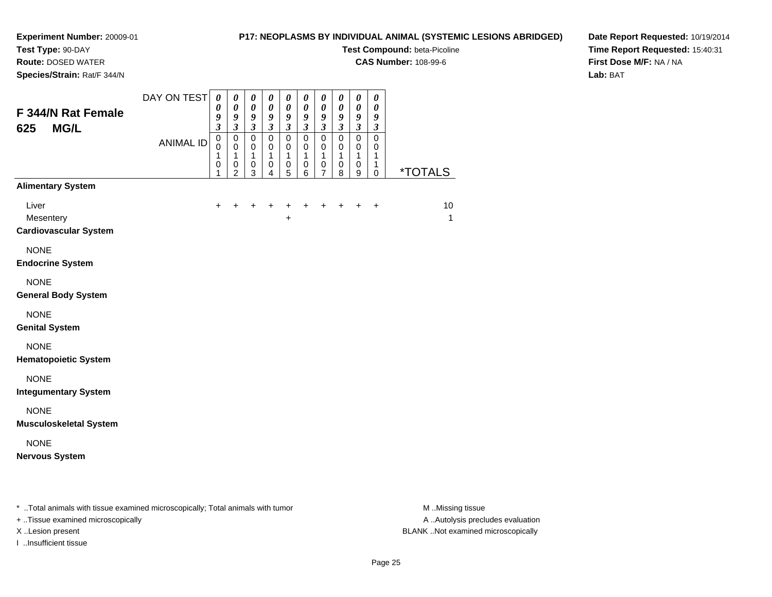# **P17: NEOPLASMS BY INDIVIDUAL ANIMAL (SYSTEMIC LESIONS ABRIDGED)**

**Test Compound:** beta-Picoline

**CAS Number:** 108-99-6

**Species/Strain:** Rat/F 344/N

**Route:** DOSED WATER

# **Date Report Requested:** 10/19/2014**Time Report Requested:** 15:40:31**First Dose M/F:** NA / NA**Lab:** BAT

| F 344/N Rat Female<br><b>MG/L</b><br>625           | DAY ON TEST<br><b>ANIMAL ID</b> | $\pmb{\theta}$<br>$\boldsymbol{\theta}$<br>9<br>$\overline{\mathbf{3}}$<br>$\mathbf 0$<br>$\mathbf 0$<br>1<br>$\pmb{0}$<br>1 | $\pmb{\theta}$<br>$\boldsymbol{\theta}$<br>9<br>$\overline{\mathbf{3}}$<br>$\mathbf 0$<br>$\mathbf 0$<br>$\mathbf{1}$<br>0<br>$\overline{2}$ | $\pmb{\theta}$<br>$\boldsymbol{\theta}$<br>9<br>$\mathfrak{z}$<br>$\pmb{0}$<br>$\mathbf 0$<br>1<br>$\pmb{0}$<br>3 | $\pmb{\theta}$<br>$\boldsymbol{\theta}$<br>$\boldsymbol{g}$<br>$\overline{\mathbf{3}}$<br>$\mathbf 0$<br>$\mathbf 0$<br>$\mathbf{1}$<br>$\mathbf 0$ | $\boldsymbol{\theta}$<br>$\boldsymbol{\theta}$<br>9<br>$\overline{\mathbf{3}}$<br>$\mathbf 0$<br>$\mathbf 0$<br>$\mathbf{1}$<br>$\mathbf 0$ | $\pmb{\theta}$<br>$\pmb{\theta}$<br>9<br>$\overline{\mathbf{3}}$<br>$\mathbf 0$<br>0<br>$\mathbf{1}$<br>$\pmb{0}$ | $\pmb{\theta}$<br>$\boldsymbol{\theta}$<br>9<br>$\overline{\mathbf{3}}$<br>$\mathbf 0$<br>$\mathbf 0$<br>$\mathbf{1}$<br>$\pmb{0}$<br>7 | $\pmb{\theta}$<br>$\pmb{\theta}$<br>9<br>$\overline{\mathbf{3}}$<br>$\pmb{0}$<br>$\pmb{0}$<br>$\mathbf{1}$<br>$\pmb{0}$ | $\pmb{\theta}$<br>$\pmb{\theta}$<br>9<br>$\mathfrak{z}$<br>$\pmb{0}$<br>$\mathbf 0$<br>$\mathbf{1}$<br>$\mathbf 0$<br>9 | $\boldsymbol{\theta}$<br>$\boldsymbol{\theta}$<br>9<br>$\boldsymbol{\mathfrak{z}}$<br>$\mathbf 0$<br>0<br>1<br>$\mathbf{1}$ | *TOTALS |
|----------------------------------------------------|---------------------------------|------------------------------------------------------------------------------------------------------------------------------|----------------------------------------------------------------------------------------------------------------------------------------------|-------------------------------------------------------------------------------------------------------------------|-----------------------------------------------------------------------------------------------------------------------------------------------------|---------------------------------------------------------------------------------------------------------------------------------------------|-------------------------------------------------------------------------------------------------------------------|-----------------------------------------------------------------------------------------------------------------------------------------|-------------------------------------------------------------------------------------------------------------------------|-------------------------------------------------------------------------------------------------------------------------|-----------------------------------------------------------------------------------------------------------------------------|---------|
| <b>Alimentary System</b>                           |                                 |                                                                                                                              |                                                                                                                                              |                                                                                                                   | 4                                                                                                                                                   | 5                                                                                                                                           | 6                                                                                                                 |                                                                                                                                         | 8                                                                                                                       |                                                                                                                         | 0                                                                                                                           |         |
| Liver<br>Mesentery<br><b>Cardiovascular System</b> |                                 | $\ddot{}$                                                                                                                    | $\ddot{}$                                                                                                                                    | +                                                                                                                 | $\ddot{}$                                                                                                                                           | +<br>+                                                                                                                                      | +                                                                                                                 | $\ddot{}$                                                                                                                               | $\ddot{}$                                                                                                               | $\ddot{}$                                                                                                               | $+$                                                                                                                         | 10<br>1 |
| <b>NONE</b><br><b>Endocrine System</b>             |                                 |                                                                                                                              |                                                                                                                                              |                                                                                                                   |                                                                                                                                                     |                                                                                                                                             |                                                                                                                   |                                                                                                                                         |                                                                                                                         |                                                                                                                         |                                                                                                                             |         |
| <b>NONE</b><br><b>General Body System</b>          |                                 |                                                                                                                              |                                                                                                                                              |                                                                                                                   |                                                                                                                                                     |                                                                                                                                             |                                                                                                                   |                                                                                                                                         |                                                                                                                         |                                                                                                                         |                                                                                                                             |         |
| <b>NONE</b><br><b>Genital System</b>               |                                 |                                                                                                                              |                                                                                                                                              |                                                                                                                   |                                                                                                                                                     |                                                                                                                                             |                                                                                                                   |                                                                                                                                         |                                                                                                                         |                                                                                                                         |                                                                                                                             |         |
| <b>NONE</b><br><b>Hematopoietic System</b>         |                                 |                                                                                                                              |                                                                                                                                              |                                                                                                                   |                                                                                                                                                     |                                                                                                                                             |                                                                                                                   |                                                                                                                                         |                                                                                                                         |                                                                                                                         |                                                                                                                             |         |
| <b>NONE</b><br><b>Integumentary System</b>         |                                 |                                                                                                                              |                                                                                                                                              |                                                                                                                   |                                                                                                                                                     |                                                                                                                                             |                                                                                                                   |                                                                                                                                         |                                                                                                                         |                                                                                                                         |                                                                                                                             |         |
| <b>NONE</b><br><b>Musculoskeletal System</b>       |                                 |                                                                                                                              |                                                                                                                                              |                                                                                                                   |                                                                                                                                                     |                                                                                                                                             |                                                                                                                   |                                                                                                                                         |                                                                                                                         |                                                                                                                         |                                                                                                                             |         |
| <b>NONE</b><br><b>Nervous System</b>               |                                 |                                                                                                                              |                                                                                                                                              |                                                                                                                   |                                                                                                                                                     |                                                                                                                                             |                                                                                                                   |                                                                                                                                         |                                                                                                                         |                                                                                                                         |                                                                                                                             |         |

\* ..Total animals with tissue examined microscopically; Total animals with tumor **M** . Missing tissue M ..Missing tissue

+ ..Tissue examined microscopically

I ..Insufficient tissue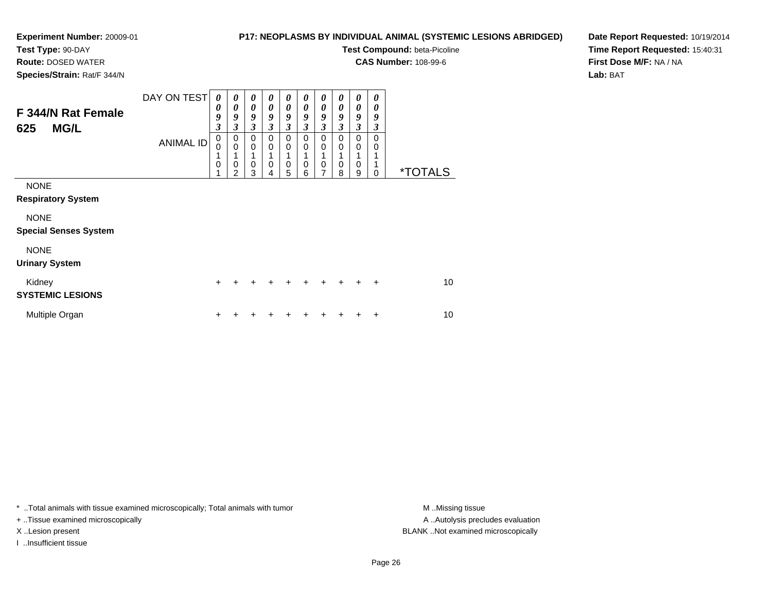# **Test Type:** 90-DAY

**Route:** DOSED WATER

**Species/Strain:** Rat/F 344/N

# **P17: NEOPLASMS BY INDIVIDUAL ANIMAL (SYSTEMIC LESIONS ABRIDGED)**

**Test Compound:** beta-Picoline

**CAS Number:** 108-99-6

**Date Report Requested:** 10/19/2014**Time Report Requested:** 15:40:31**First Dose M/F:** NA / NA**Lab:** BAT

| F 344/N Rat Female<br><b>MG/L</b><br>625    | DAY ON TEST<br><b>ANIMAL ID</b> | $\theta$<br>0<br>9<br>$\overline{\mathbf{3}}$<br>$\mathbf 0$<br>0<br>1<br>$\mathbf 0$ | 0<br>0<br>9<br>3<br>$\mathbf 0$<br>$\mathbf 0$<br>1<br>0<br>2 | 0<br>$\boldsymbol{\theta}$<br>9<br>3<br>$\mathbf 0$<br>0<br>0<br>3 | 0<br>0<br>9<br>3<br>0<br>0<br>$\mathbf 0$ | 0<br>$\boldsymbol{\theta}$<br>9<br>$\mathfrak{z}$<br>$\mathbf 0$<br>0<br>0<br>5 | 0<br>0<br>9<br>3<br>0<br>0<br>$\mathbf 0$<br>6 | 0<br>$\boldsymbol{\theta}$<br>9<br>$\mathfrak{z}$<br>$\mathbf 0$<br>$\mathbf 0$<br>1<br>$\mathbf 0$<br>$\overline{7}$ | 0<br>0<br>9<br>3<br>0<br>0<br>1<br>0<br>8 | $\boldsymbol{\theta}$<br>$\boldsymbol{\theta}$<br>9<br>$\mathfrak{z}$<br>0<br>$\mathbf 0$<br>1<br>0<br>9 | 0<br>0<br>9<br>3<br>0<br>0<br>0 | <i><b>*TOTALS</b></i> |
|---------------------------------------------|---------------------------------|---------------------------------------------------------------------------------------|---------------------------------------------------------------|--------------------------------------------------------------------|-------------------------------------------|---------------------------------------------------------------------------------|------------------------------------------------|-----------------------------------------------------------------------------------------------------------------------|-------------------------------------------|----------------------------------------------------------------------------------------------------------|---------------------------------|-----------------------|
| <b>NONE</b><br><b>Respiratory System</b>    |                                 |                                                                                       |                                                               |                                                                    |                                           |                                                                                 |                                                |                                                                                                                       |                                           |                                                                                                          |                                 |                       |
| <b>NONE</b><br><b>Special Senses System</b> |                                 |                                                                                       |                                                               |                                                                    |                                           |                                                                                 |                                                |                                                                                                                       |                                           |                                                                                                          |                                 |                       |
| <b>NONE</b><br><b>Urinary System</b>        |                                 |                                                                                       |                                                               |                                                                    |                                           |                                                                                 |                                                |                                                                                                                       |                                           |                                                                                                          |                                 |                       |
| Kidney<br><b>SYSTEMIC LESIONS</b>           |                                 | $\ddot{}$                                                                             | +                                                             |                                                                    |                                           | +                                                                               | +                                              | $\div$                                                                                                                | $\div$                                    | $\div$                                                                                                   | $\ddot{}$                       | 10                    |
| Multiple Organ                              |                                 | +                                                                                     |                                                               |                                                                    |                                           |                                                                                 |                                                |                                                                                                                       |                                           |                                                                                                          | ÷                               | 10                    |

\* ..Total animals with tissue examined microscopically; Total animals with tumor **M** . Missing tissue M ..Missing tissue

+ ..Tissue examined microscopically

I ..Insufficient tissue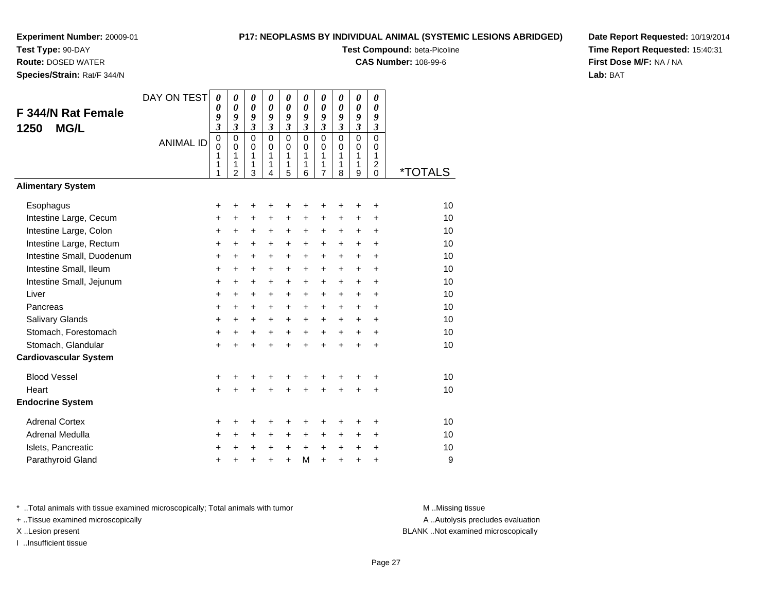**Test Type:** 90-DAY

**Route:** DOSED WATER

**Species/Strain:** Rat/F 344/N

# **P17: NEOPLASMS BY INDIVIDUAL ANIMAL (SYSTEMIC LESIONS ABRIDGED)**

**Test Compound:** beta-Picoline

**CAS Number:** 108-99-6

**Date Report Requested:** 10/19/2014**Time Report Requested:** 15:40:31**First Dose M/F:** NA / NA**Lab:** BAT

| <b>F 344/N Rat Female</b><br><b>MG/L</b><br>1250                                                                                                                                                                                                                                                  | DAY ON TEST<br><b>ANIMAL ID</b> | 0<br>$\boldsymbol{\theta}$<br>9<br>$\mathfrak{z}$<br>$\mathbf 0$<br>$\mathbf 0$<br>1<br>$\mathbf{1}$<br>1                          | $\boldsymbol{\theta}$<br>$\boldsymbol{\theta}$<br>9<br>$\mathfrak{z}$<br>$\mathbf 0$<br>$\mathbf 0$<br>1<br>$\mathbf{1}$<br>$\overline{2}$ | 0<br>$\boldsymbol{\theta}$<br>9<br>$\mathfrak{z}$<br>$\mathbf 0$<br>$\mathbf 0$<br>1<br>$\mathbf{1}$<br>3                                | $\boldsymbol{\theta}$<br>$\boldsymbol{\theta}$<br>9<br>$\mathfrak{z}$<br>$\mathbf 0$<br>$\Omega$<br>1<br>1<br>4                                  | $\pmb{\theta}$<br>0<br>9<br>$\overline{\mathbf{3}}$<br>$\mathsf 0$<br>$\mathbf 0$<br>1<br>1<br>5                                   | 0<br>$\boldsymbol{\theta}$<br>9<br>$\overline{\mathbf{3}}$<br>$\mathbf 0$<br>$\mathbf 0$<br>1<br>1<br>6            | 0<br>0<br>9<br>$\overline{\mathbf{3}}$<br>$\mathbf 0$<br>$\mathbf 0$<br>1<br>1<br>$\overline{7}$         | 0<br>$\boldsymbol{\theta}$<br>9<br>$\boldsymbol{\mathfrak{z}}$<br>$\mathbf 0$<br>$\mathbf 0$<br>1<br>1<br>8                                | 0<br>0<br>9<br>$\boldsymbol{\mathfrak{z}}$<br>$\overline{0}$<br>$\mathbf 0$<br>1<br>1<br>9                             | 0<br>0<br>9<br>$\boldsymbol{\beta}$<br>0<br>0<br>1<br>$\overline{2}$<br>$\mathbf 0$                                                      | <i><b>*TOTALS</b></i>                                                |
|---------------------------------------------------------------------------------------------------------------------------------------------------------------------------------------------------------------------------------------------------------------------------------------------------|---------------------------------|------------------------------------------------------------------------------------------------------------------------------------|--------------------------------------------------------------------------------------------------------------------------------------------|------------------------------------------------------------------------------------------------------------------------------------------|--------------------------------------------------------------------------------------------------------------------------------------------------|------------------------------------------------------------------------------------------------------------------------------------|--------------------------------------------------------------------------------------------------------------------|----------------------------------------------------------------------------------------------------------|--------------------------------------------------------------------------------------------------------------------------------------------|------------------------------------------------------------------------------------------------------------------------|------------------------------------------------------------------------------------------------------------------------------------------|----------------------------------------------------------------------|
| <b>Alimentary System</b>                                                                                                                                                                                                                                                                          |                                 |                                                                                                                                    |                                                                                                                                            |                                                                                                                                          |                                                                                                                                                  |                                                                                                                                    |                                                                                                                    |                                                                                                          |                                                                                                                                            |                                                                                                                        |                                                                                                                                          |                                                                      |
| Esophagus<br>Intestine Large, Cecum<br>Intestine Large, Colon<br>Intestine Large, Rectum<br>Intestine Small, Duodenum<br>Intestine Small, Ileum<br>Intestine Small, Jejunum<br>Liver<br>Pancreas<br>Salivary Glands<br>Stomach, Forestomach<br>Stomach, Glandular<br><b>Cardiovascular System</b> |                                 | +<br>$\ddot{}$<br>$\ddot{}$<br>$\ddot{}$<br>$\ddot{}$<br>$\ddot{}$<br>+<br>$\ddot{}$<br>$\ddot{}$<br>$\ddot{}$<br>$\ddot{}$<br>$+$ | +<br>$\ddot{}$<br>$\ddot{}$<br>$+$<br>$\ddot{}$<br>+<br>$\ddot{}$<br>$\ddot{}$<br>$\ddot{}$<br>+<br>$\ddot{}$<br>$\ddot{}$                 | +<br>$\ddot{}$<br>$\ddot{}$<br>$\ddot{}$<br>$\ddot{}$<br>$\ddot{}$<br>$\ddot{}$<br>$\ddot{}$<br>$\ddot{}$<br>+<br>$\ddot{}$<br>$\ddot{}$ | +<br>$\ddot{}$<br>$\ddot{}$<br>$\ddot{}$<br>$\ddot{}$<br>$\ddot{}$<br>$\ddot{}$<br>$\ddot{}$<br>$\ddot{}$<br>$\ddot{}$<br>$\ddot{}$<br>$\ddot{}$ | +<br>$\ddot{}$<br>$\ddot{}$<br>$+$<br>$\ddot{}$<br>$\ddot{}$<br>$\ddot{}$<br>$\ddot{}$<br>$\ddot{}$<br>+<br>$\ddot{}$<br>$\ddot{}$ | +<br>$\ddot{}$<br>+<br>$\ddot{}$<br>$\ddot{}$<br>+<br>+<br>$\ddot{}$<br>$\ddot{}$<br>$\ddot{}$<br>$+$<br>$\ddot{}$ | +<br>$\ddot{}$<br>+<br>$\ddot{}$<br>$\ddot{}$<br>$\ddot{}$<br>+<br>+<br>+<br>+<br>$\ddot{}$<br>$\ddot{}$ | +<br>$\ddot{}$<br>$\ddot{}$<br>$+$<br>$\ddot{}$<br>$\ddot{}$<br>$\ddot{}$<br>$\ddot{}$<br>$\ddot{}$<br>$\ddot{}$<br>$\ddot{}$<br>$\ddot{}$ | ٠<br>$\ddot{}$<br>$\ddot{}$<br>$+$<br>$\ddot{}$<br>$\ddot{}$<br>$\ddot{}$<br>$\ddot{}$<br>$+$<br>+<br>$+$<br>$\ddot{}$ | +<br>$\ddot{}$<br>$\ddot{}$<br>$\ddot{}$<br>$\ddot{}$<br>$\ddot{}$<br>$\ddot{}$<br>$\ddot{}$<br>$\ddot{}$<br>+<br>$\ddot{}$<br>$\ddot{}$ | 10<br>10<br>10<br>10<br>10<br>10<br>10<br>10<br>10<br>10<br>10<br>10 |
| <b>Blood Vessel</b><br>Heart<br><b>Endocrine System</b>                                                                                                                                                                                                                                           |                                 | $\ddot{}$<br>$\ddot{}$                                                                                                             | ٠                                                                                                                                          | +<br>$\ddot{}$                                                                                                                           | +<br>$\ddot{}$                                                                                                                                   | +<br>$\ddot{}$                                                                                                                     | +<br>$\ddot{}$                                                                                                     | +<br>$\ddot{}$                                                                                           | $\ddot{}$                                                                                                                                  | $\ddot{}$                                                                                                              | +<br>$\ddot{}$                                                                                                                           | 10<br>10                                                             |
| <b>Adrenal Cortex</b><br>Adrenal Medulla<br>Islets, Pancreatic<br>Parathyroid Gland                                                                                                                                                                                                               |                                 | +<br>+<br>$\pm$<br>$\ddot{}$                                                                                                       | ٠<br>$\ddot{}$<br>$\ddot{}$                                                                                                                | +<br>+<br>+<br>$\ddot{}$                                                                                                                 | +<br>+<br>$\ddot{}$<br>$\ddot{}$                                                                                                                 | +<br>+<br>$\ddot{}$<br>$\ddot{}$                                                                                                   | +<br>+<br>$\ddot{}$<br>M                                                                                           | +<br>+<br>$\ddot{}$<br>$\ddot{}$                                                                         | ٠<br>+<br>+<br>$\ddot{}$                                                                                                                   | ٠<br>+<br>+<br>$\ddot{}$                                                                                               | ٠<br>+<br>+<br>+                                                                                                                         | 10<br>10<br>10<br>9                                                  |

\* ..Total animals with tissue examined microscopically; Total animals with tumor **M** . Missing tissue M ..Missing tissue

+ ..Tissue examined microscopically

I ..Insufficient tissue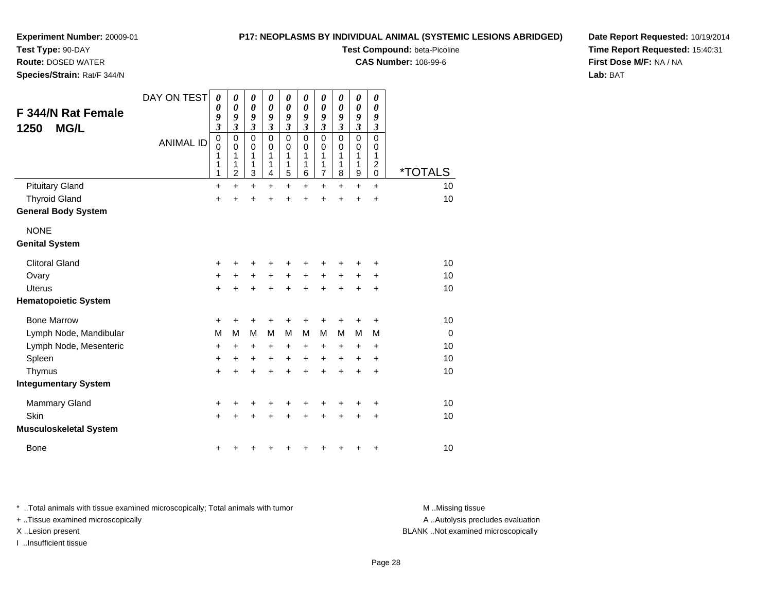# **Test Type:** 90-DAY

**Route:** DOSED WATER

**Species/Strain:** Rat/F 344/N

# **P17: NEOPLASMS BY INDIVIDUAL ANIMAL (SYSTEMIC LESIONS ABRIDGED)**

**Test Compound:** beta-Picoline

**CAS Number:** 108-99-6

**Date Report Requested:** 10/19/2014**Time Report Requested:** 15:40:31**First Dose M/F:** NA / NA**Lab:** BAT

| <b>F 344/N Rat Female</b><br><b>MG/L</b><br>1250 | DAY ON TEST<br><b>ANIMAL ID</b> | 0<br>0<br>9<br>$\overline{\mathbf{3}}$<br>$\mathbf 0$<br>0<br>1<br>1<br>1 | 0<br>0<br>9<br>3<br>$\mathbf 0$<br>0<br>1<br>1<br>$\overline{2}$ | 0<br>$\boldsymbol{\theta}$<br>9<br>3<br>$\mathbf 0$<br>0<br>1<br>1<br>$\mathbf{3}$ | 0<br>$\boldsymbol{\theta}$<br>9<br>3<br>$\mathbf 0$<br>0<br>1<br>1<br>$\overline{4}$ | 0<br>0<br>9<br>$\overline{\mathbf{3}}$<br>$\mathbf 0$<br>0<br>1<br>1<br>5 | 0<br>0<br>9<br>$\overline{\mathbf{3}}$<br>0<br>0<br>1<br>1<br>6 | 0<br>0<br>9<br>3<br>$\mathbf 0$<br>0<br>1<br>1<br>$\overline{7}$ | 0<br>0<br>9<br>3<br>$\mathbf 0$<br>0<br>1<br>1<br>8 | 0<br>0<br>9<br>$\overline{\mathbf{3}}$<br>$\mathbf 0$<br>0<br>1<br>1<br>9 | 0<br>0<br>9<br>$\boldsymbol{\beta}$<br>$\mathbf 0$<br>0<br>1<br>$\overline{2}$<br>$\mathbf 0$ | <i><b>*TOTALS</b></i> |
|--------------------------------------------------|---------------------------------|---------------------------------------------------------------------------|------------------------------------------------------------------|------------------------------------------------------------------------------------|--------------------------------------------------------------------------------------|---------------------------------------------------------------------------|-----------------------------------------------------------------|------------------------------------------------------------------|-----------------------------------------------------|---------------------------------------------------------------------------|-----------------------------------------------------------------------------------------------|-----------------------|
| <b>Pituitary Gland</b>                           |                                 | +                                                                         | $\ddot{}$                                                        | $\ddot{}$                                                                          | +                                                                                    | +                                                                         | $\pm$                                                           | $\ddot{}$                                                        | +                                                   | $\ddot{}$                                                                 | $\ddot{}$                                                                                     | 10                    |
| <b>Thyroid Gland</b>                             |                                 | +                                                                         | +                                                                | +                                                                                  | +                                                                                    | +                                                                         | +                                                               | +                                                                | +                                                   | +                                                                         | $\ddot{}$                                                                                     | 10                    |
| <b>General Body System</b>                       |                                 |                                                                           |                                                                  |                                                                                    |                                                                                      |                                                                           |                                                                 |                                                                  |                                                     |                                                                           |                                                                                               |                       |
| <b>NONE</b>                                      |                                 |                                                                           |                                                                  |                                                                                    |                                                                                      |                                                                           |                                                                 |                                                                  |                                                     |                                                                           |                                                                                               |                       |
| <b>Genital System</b>                            |                                 |                                                                           |                                                                  |                                                                                    |                                                                                      |                                                                           |                                                                 |                                                                  |                                                     |                                                                           |                                                                                               |                       |
| <b>Clitoral Gland</b>                            |                                 | +                                                                         | +                                                                | +                                                                                  | +                                                                                    | +                                                                         |                                                                 | ٠                                                                |                                                     |                                                                           |                                                                                               | 10                    |
| Ovary                                            |                                 | $\ddot{}$                                                                 | $\ddot{}$                                                        | +                                                                                  | $\ddot{}$                                                                            | +                                                                         | $+$                                                             | $\ddot{}$                                                        | $\ddot{}$                                           | +                                                                         | $\ddot{}$                                                                                     | 10                    |
| <b>Uterus</b>                                    |                                 | $\ddot{}$                                                                 | $\ddot{}$                                                        | $\ddot{}$                                                                          | $\ddot{}$                                                                            | $\ddot{}$                                                                 | $\ddot{}$                                                       | $+$                                                              | $\ddot{}$                                           | $\ddot{}$                                                                 | $\ddot{}$                                                                                     | 10                    |
| <b>Hematopoietic System</b>                      |                                 |                                                                           |                                                                  |                                                                                    |                                                                                      |                                                                           |                                                                 |                                                                  |                                                     |                                                                           |                                                                                               |                       |
| <b>Bone Marrow</b>                               |                                 | +                                                                         | +                                                                | +                                                                                  |                                                                                      | +                                                                         |                                                                 |                                                                  |                                                     |                                                                           | +                                                                                             | 10                    |
| Lymph Node, Mandibular                           |                                 | M                                                                         | M                                                                | M                                                                                  | M                                                                                    | M                                                                         | M                                                               | M                                                                | M                                                   | M                                                                         | M                                                                                             | $\mathbf 0$           |
| Lymph Node, Mesenteric                           |                                 | $\ddot{}$                                                                 | $\ddot{}$                                                        | +                                                                                  | $\ddot{}$                                                                            | $\ddot{}$                                                                 | $\ddot{}$                                                       | +                                                                | +                                                   | +                                                                         | $\ddot{}$                                                                                     | 10                    |
| Spleen                                           |                                 | +                                                                         | +                                                                | +                                                                                  | $\ddot{}$                                                                            | $\ddot{}$                                                                 | $\ddot{}$                                                       | +                                                                | $\ddot{}$                                           | +                                                                         | +                                                                                             | 10                    |
| Thymus                                           |                                 | $\ddot{}$                                                                 | $\ddot{}$                                                        | $\ddot{}$                                                                          | +                                                                                    | $\ddot{}$                                                                 | $\ddot{}$                                                       | $\ddot{}$                                                        | $\ddot{}$                                           | $\ddot{}$                                                                 | $\ddot{}$                                                                                     | 10                    |
| <b>Integumentary System</b>                      |                                 |                                                                           |                                                                  |                                                                                    |                                                                                      |                                                                           |                                                                 |                                                                  |                                                     |                                                                           |                                                                                               |                       |
| <b>Mammary Gland</b>                             |                                 | +                                                                         | +                                                                | +                                                                                  |                                                                                      | +                                                                         |                                                                 | +                                                                |                                                     |                                                                           | +                                                                                             | 10                    |
| Skin                                             |                                 | $\ddot{}$                                                                 | $\ddot{}$                                                        | $\ddot{}$                                                                          | +                                                                                    | $\ddot{}$                                                                 | $\ddot{}$                                                       | $\ddot{}$                                                        | +                                                   | +                                                                         | +                                                                                             | 10                    |
| <b>Musculoskeletal System</b>                    |                                 |                                                                           |                                                                  |                                                                                    |                                                                                      |                                                                           |                                                                 |                                                                  |                                                     |                                                                           |                                                                                               |                       |
| <b>Bone</b>                                      |                                 | +                                                                         | ٠                                                                | +                                                                                  |                                                                                      | +                                                                         | ٠                                                               | ٠                                                                | ٠                                                   | +                                                                         | +                                                                                             | 10                    |

\* ..Total animals with tissue examined microscopically; Total animals with tumor **M** . Missing tissue M ..Missing tissue

+ ..Tissue examined microscopically

I ..Insufficient tissue